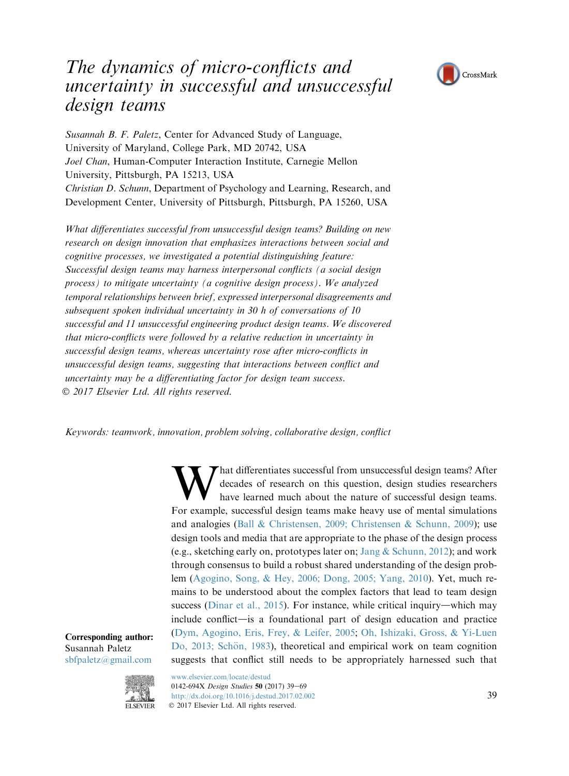# The dynamics of micro-conflicts and uncertainty in successful and unsuccessful design teams



Susannah B. F. Paletz, Center for Advanced Study of Language, University of Maryland, College Park, MD 20742, USA Joel Chan, Human-Computer Interaction Institute, Carnegie Mellon University, Pittsburgh, PA 15213, USA Christian D. Schunn, Department of Psychology and Learning, Research, and Development Center, University of Pittsburgh, Pittsburgh, PA 15260, USA

What differentiates successful from unsuccessful design teams? Building on new research on design innovation that emphasizes interactions between social and cognitive processes, we investigated a potential distinguishing feature: Successful design teams may harness interpersonal conflicts (a social design process) to mitigate uncertainty (a cognitive design process). We analyzed temporal relationships between brief, expressed interpersonal disagreements and subsequent spoken individual uncertainty in 30 h of conversations of 10 successful and 11 unsuccessful engineering product design teams. We discovered that micro-conflicts were followed by a relative reduction in uncertainty in successful design teams, whereas uncertainty rose after micro-conflicts in unsuccessful design teams, suggesting that interactions between conflict and uncertainty may be a differentiating factor for design team success. 2017 Elsevier Ltd. All rights reserved.

Keywords: teamwork, innovation, problem solving, collaborative design, conflict

What differentiates successful from unsuccessful design teams? After decades of research on this question, design studies researchers have learned much about the nature of successful design teams. decades of research on this question, design studies researchers have learned much about the nature of successful design teams. For example, successful design teams make heavy use of mental simulations and analogies [\(Ball & Christensen, 2009; Christensen & Schunn, 2009](#page-25-0)); use design tools and media that are appropriate to the phase of the design process (e.g., sketching early on, prototypes later on; [Jang & Schunn, 2012\)](#page-27-0); and work through consensus to build a robust shared understanding of the design problem ([Agogino, Song, & Hey, 2006; Dong, 2005; Yang, 2010\)](#page-25-0). Yet, much remains to be understood about the complex factors that lead to team design success ([Dinar et al., 2015](#page-26-0)). For instance, while critical inquiry—which may include conflict—is a foundational part of design education and practice [\(Dym, Agogino, Eris, Frey, & Leifer, 2005;](#page-27-0) [Oh, Ishizaki, Gross, & Yi-Luen](#page-28-0) Do, 2013; Schön, 1983), theoretical and empirical work on team cognition suggests that conflict still needs to be appropriately harnessed such that

Corresponding author: Susannah Paletz [sbfpaletz@gmail.com](mailto:sbfpaletz@gmail.com)



[www.elsevier.com/locate/destud](http://www.elsevier.com/locate/destud) 0142-694X Design Studies 50 (2017) 39-69 <http://dx.doi.org/10.1016/j.destud.2017.02.002> 39 2017 Elsevier Ltd. All rights reserved.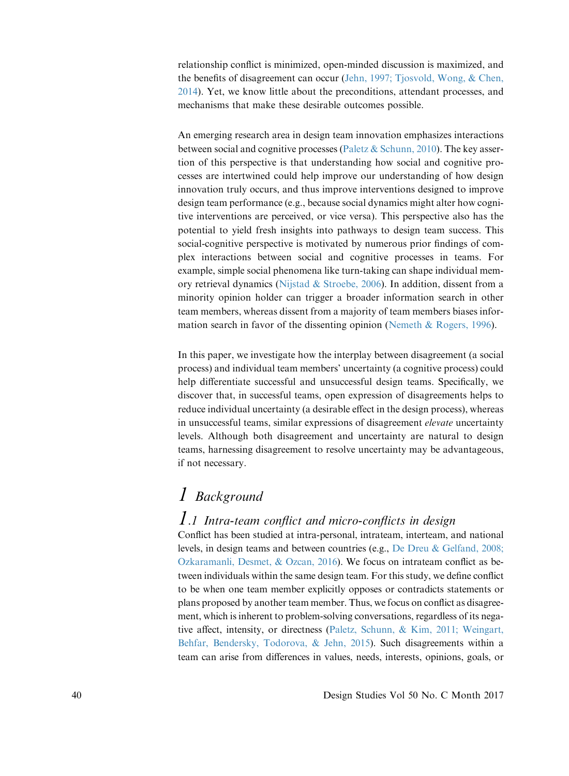relationship conflict is minimized, open-minded discussion is maximized, and the benefits of disagreement can occur [\(Jehn, 1997; Tjosvold, Wong, & Chen,](#page-27-0) [2014](#page-27-0)). Yet, we know little about the preconditions, attendant processes, and mechanisms that make these desirable outcomes possible.

An emerging research area in design team innovation emphasizes interactions between social and cognitive processes [\(Paletz & Schunn, 2010\)](#page-28-0). The key assertion of this perspective is that understanding how social and cognitive processes are intertwined could help improve our understanding of how design innovation truly occurs, and thus improve interventions designed to improve design team performance (e.g., because social dynamics might alter how cognitive interventions are perceived, or vice versa). This perspective also has the potential to yield fresh insights into pathways to design team success. This social-cognitive perspective is motivated by numerous prior findings of complex interactions between social and cognitive processes in teams. For example, simple social phenomena like turn-taking can shape individual memory retrieval dynamics ([Nijstad & Stroebe, 2006\)](#page-28-0). In addition, dissent from a minority opinion holder can trigger a broader information search in other team members, whereas dissent from a majority of team members biases information search in favor of the dissenting opinion ([Nemeth & Rogers, 1996](#page-28-0)).

In this paper, we investigate how the interplay between disagreement (a social process) and individual team members' uncertainty (a cognitive process) could help differentiate successful and unsuccessful design teams. Specifically, we discover that, in successful teams, open expression of disagreements helps to reduce individual uncertainty (a desirable effect in the design process), whereas in unsuccessful teams, similar expressions of disagreement elevate uncertainty levels. Although both disagreement and uncertainty are natural to design teams, harnessing disagreement to resolve uncertainty may be advantageous, if not necessary.

# 1 Background

#### 1.1 Intra-team conflict and micro-conflicts in design

Conflict has been studied at intra-personal, intrateam, interteam, and national levels, in design teams and between countries (e.g., [De Dreu & Gelfand, 2008;](#page-26-0) [Ozkaramanli, Desmet, & Ozcan, 2016\)](#page-26-0). We focus on intrateam conflict as between individuals within the same design team. For this study, we define conflict to be when one team member explicitly opposes or contradicts statements or plans proposed by another team member. Thus, we focus on conflict as disagreement, which is inherent to problem-solving conversations, regardless of its negative affect, intensity, or directness [\(Paletz, Schunn, & Kim, 2011; Weingart,](#page-28-0) [Behfar, Bendersky, Todorova, & Jehn, 2015](#page-28-0)). Such disagreements within a team can arise from differences in values, needs, interests, opinions, goals, or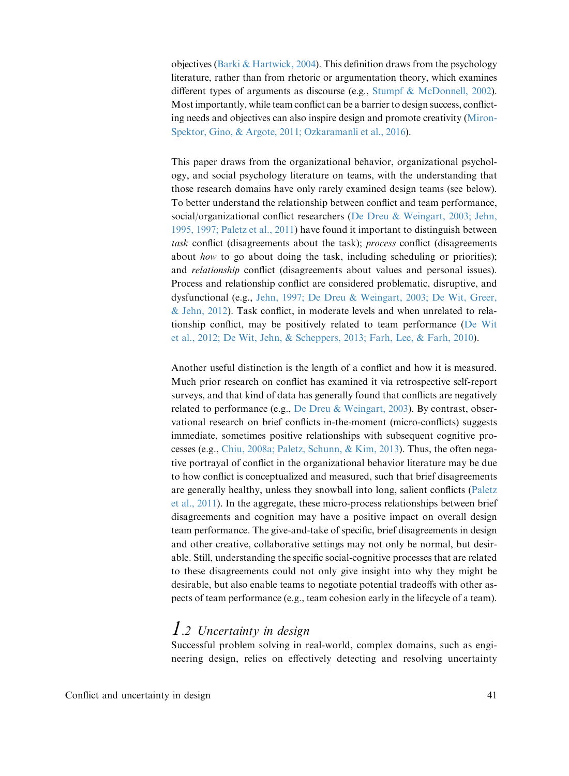objectives ([Barki & Hartwick, 2004](#page-25-0)). This definition draws from the psychology literature, rather than from rhetoric or argumentation theory, which examines different types of arguments as discourse (e.g., [Stumpf & McDonnell, 2002](#page-29-0)). Most importantly, while team conflict can be a barrier to design success, conflicting needs and objectives can also inspire design and promote creativity [\(Miron-](#page-28-0)[Spektor, Gino, & Argote, 2011; Ozkaramanli et al., 2016\)](#page-28-0).

This paper draws from the organizational behavior, organizational psychology, and social psychology literature on teams, with the understanding that those research domains have only rarely examined design teams (see below). To better understand the relationship between conflict and team performance, social/organizational conflict researchers [\(De Dreu & Weingart, 2003; Jehn,](#page-26-0) [1995, 1997; Paletz et al., 2011\)](#page-26-0) have found it important to distinguish between task conflict (disagreements about the task); process conflict (disagreements about how to go about doing the task, including scheduling or priorities); and relationship conflict (disagreements about values and personal issues). Process and relationship conflict are considered problematic, disruptive, and dysfunctional (e.g., [Jehn, 1997; De Dreu & Weingart, 2003; De Wit, Greer,](#page-27-0) [& Jehn, 2012\)](#page-27-0). Task conflict, in moderate levels and when unrelated to relationship conflict, may be positively related to team performance [\(De Wit](#page-26-0) [et al., 2012; De Wit, Jehn, & Scheppers, 2013; Farh, Lee, & Farh, 2010](#page-26-0)).

Another useful distinction is the length of a conflict and how it is measured. Much prior research on conflict has examined it via retrospective self-report surveys, and that kind of data has generally found that conflicts are negatively related to performance (e.g., [De Dreu & Weingart, 2003\)](#page-26-0). By contrast, observational research on brief conflicts in-the-moment (micro-conflicts) suggests immediate, sometimes positive relationships with subsequent cognitive processes (e.g., [Chiu, 2008a; Paletz, Schunn, & Kim, 2013\)](#page-26-0). Thus, the often negative portrayal of conflict in the organizational behavior literature may be due to how conflict is conceptualized and measured, such that brief disagreements are generally healthy, unless they snowball into long, salient conflicts [\(Paletz](#page-28-0) [et al., 2011\)](#page-28-0). In the aggregate, these micro-process relationships between brief disagreements and cognition may have a positive impact on overall design team performance. The give-and-take of specific, brief disagreements in design and other creative, collaborative settings may not only be normal, but desirable. Still, understanding the specific social-cognitive processes that are related to these disagreements could not only give insight into why they might be desirable, but also enable teams to negotiate potential tradeoffs with other aspects of team performance (e.g., team cohesion early in the lifecycle of a team).

### 1.2 Uncertainty in design

Successful problem solving in real-world, complex domains, such as engineering design, relies on effectively detecting and resolving uncertainty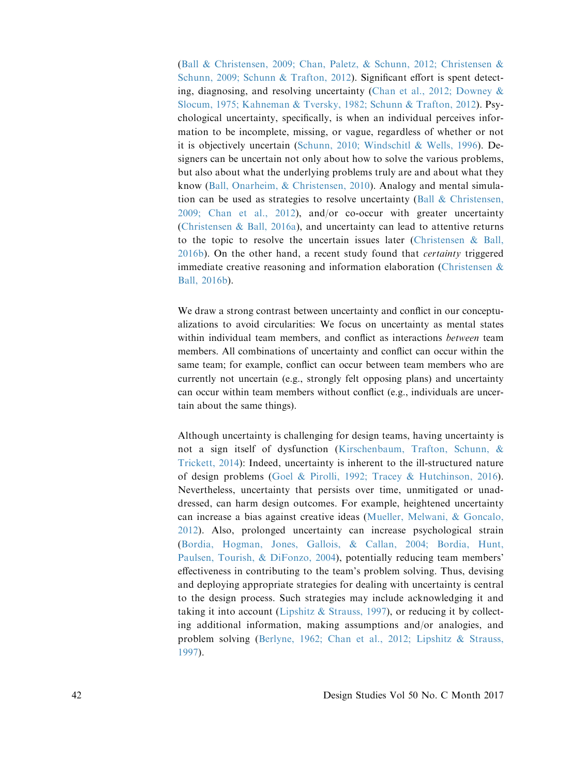([Ball & Christensen, 2009; Chan, Paletz, & Schunn, 2012; Christensen &](#page-25-0) [Schunn, 2009; Schunn & Trafton, 2012](#page-25-0)). Significant effort is spent detecting, diagnosing, and resolving uncertainty [\(Chan et al., 2012; Downey &](#page-26-0) [Slocum, 1975; Kahneman & Tversky, 1982; Schunn & Trafton, 2012\)](#page-26-0). Psychological uncertainty, specifically, is when an individual perceives information to be incomplete, missing, or vague, regardless of whether or not it is objectively uncertain ([Schunn, 2010; Windschitl & Wells, 1996](#page-29-0)). Designers can be uncertain not only about how to solve the various problems, but also about what the underlying problems truly are and about what they know ([Ball, Onarheim, & Christensen, 2010](#page-25-0)). Analogy and mental simulation can be used as strategies to resolve uncertainty [\(Ball & Christensen,](#page-25-0) [2009; Chan et al., 2012\)](#page-25-0), and/or co-occur with greater uncertainty ([Christensen & Ball, 2016a\)](#page-26-0), and uncertainty can lead to attentive returns to the topic to resolve the uncertain issues later ([Christensen & Ball,](#page-26-0) [2016b](#page-26-0)). On the other hand, a recent study found that certainty triggered immediate creative reasoning and information elaboration ([Christensen &](#page-26-0) [Ball, 2016b\)](#page-26-0).

We draw a strong contrast between uncertainty and conflict in our conceptualizations to avoid circularities: We focus on uncertainty as mental states within individual team members, and conflict as interactions *between* team members. All combinations of uncertainty and conflict can occur within the same team; for example, conflict can occur between team members who are currently not uncertain (e.g., strongly felt opposing plans) and uncertainty can occur within team members without conflict (e.g., individuals are uncertain about the same things).

Although uncertainty is challenging for design teams, having uncertainty is not a sign itself of dysfunction ([Kirschenbaum, Trafton, Schunn, &](#page-27-0) [Trickett, 2014\)](#page-27-0): Indeed, uncertainty is inherent to the ill-structured nature of design problems [\(Goel & Pirolli, 1992; Tracey & Hutchinson, 2016](#page-27-0)). Nevertheless, uncertainty that persists over time, unmitigated or unaddressed, can harm design outcomes. For example, heightened uncertainty can increase a bias against creative ideas [\(Mueller, Melwani, & Goncalo,](#page-28-0) [2012\)](#page-28-0). Also, prolonged uncertainty can increase psychological strain ([Bordia, Hogman, Jones, Gallois, & Callan, 2004; Bordia, Hunt,](#page-25-0) [Paulsen, Tourish, & DiFonzo, 2004](#page-25-0)), potentially reducing team members' effectiveness in contributing to the team's problem solving. Thus, devising and deploying appropriate strategies for dealing with uncertainty is central to the design process. Such strategies may include acknowledging it and taking it into account [\(Lipshitz & Strauss, 1997\)](#page-27-0), or reducing it by collecting additional information, making assumptions and/or analogies, and problem solving ([Berlyne, 1962; Chan et al., 2012; Lipshitz & Strauss,](#page-25-0) [1997\)](#page-25-0).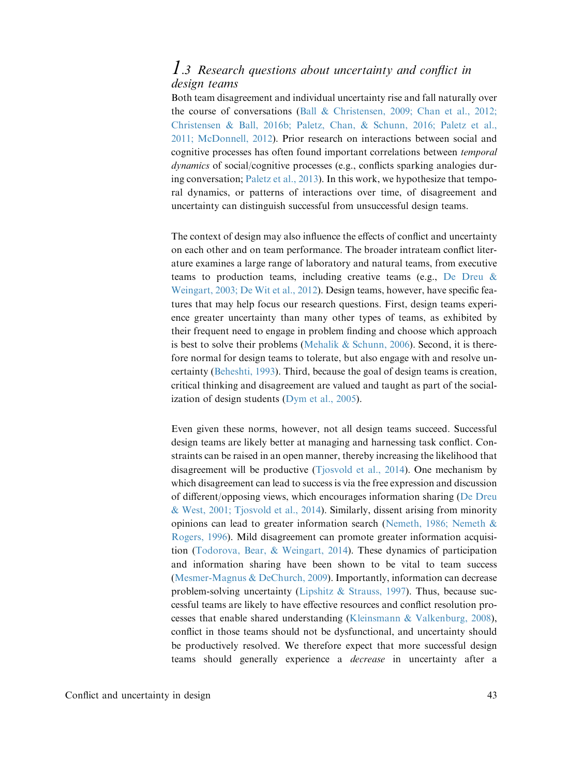### 1.3 Research questions about uncertainty and conflict in design teams

Both team disagreement and individual uncertainty rise and fall naturally over the course of conversations ([Ball & Christensen, 2009; Chan et al., 2012;](#page-25-0) [Christensen & Ball, 2016b; Paletz, Chan, & Schunn, 2016; Paletz et al.,](#page-25-0) [2011; McDonnell, 2012\)](#page-25-0). Prior research on interactions between social and cognitive processes has often found important correlations between temporal dynamics of social/cognitive processes (e.g., conflicts sparking analogies during conversation; [Paletz et al., 2013\)](#page-28-0). In this work, we hypothesize that temporal dynamics, or patterns of interactions over time, of disagreement and uncertainty can distinguish successful from unsuccessful design teams.

The context of design may also influence the effects of conflict and uncertainty on each other and on team performance. The broader intrateam conflict literature examines a large range of laboratory and natural teams, from executive teams to production teams, including creative teams (e.g., [De Dreu &](#page-26-0) [Weingart, 2003; De Wit et al., 2012\)](#page-26-0). Design teams, however, have specific features that may help focus our research questions. First, design teams experience greater uncertainty than many other types of teams, as exhibited by their frequent need to engage in problem finding and choose which approach is best to solve their problems ([Mehalik & Schunn, 2006\)](#page-28-0). Second, it is therefore normal for design teams to tolerate, but also engage with and resolve uncertainty ([Beheshti, 1993](#page-25-0)). Third, because the goal of design teams is creation, critical thinking and disagreement are valued and taught as part of the socialization of design students [\(Dym et al., 2005\)](#page-27-0).

Even given these norms, however, not all design teams succeed. Successful design teams are likely better at managing and harnessing task conflict. Constraints can be raised in an open manner, thereby increasing the likelihood that disagreement will be productive [\(Tjosvold et al., 2014](#page-29-0)). One mechanism by which disagreement can lead to success is via the free expression and discussion of different/opposing views, which encourages information sharing [\(De Dreu](#page-26-0) [& West, 2001; Tjosvold et al., 2014](#page-26-0)). Similarly, dissent arising from minority opinions can lead to greater information search ([Nemeth, 1986; Nemeth &](#page-28-0) [Rogers, 1996](#page-28-0)). Mild disagreement can promote greater information acquisition [\(Todorova, Bear, & Weingart, 2014\)](#page-29-0). These dynamics of participation and information sharing have been shown to be vital to team success [\(Mesmer-Magnus & DeChurch, 2009](#page-28-0)). Importantly, information can decrease problem-solving uncertainty [\(Lipshitz & Strauss, 1997](#page-27-0)). Thus, because successful teams are likely to have effective resources and conflict resolution processes that enable shared understanding ([Kleinsmann & Valkenburg, 2008](#page-27-0)), conflict in those teams should not be dysfunctional, and uncertainty should be productively resolved. We therefore expect that more successful design teams should generally experience a decrease in uncertainty after a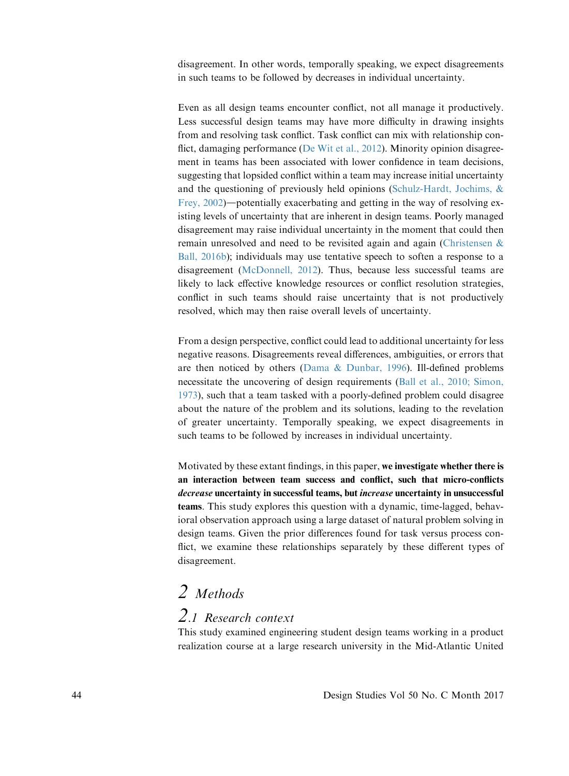disagreement. In other words, temporally speaking, we expect disagreements in such teams to be followed by decreases in individual uncertainty.

Even as all design teams encounter conflict, not all manage it productively. Less successful design teams may have more difficulty in drawing insights from and resolving task conflict. Task conflict can mix with relationship con-flict, damaging performance [\(De Wit et al., 2012](#page-26-0)). Minority opinion disagreement in teams has been associated with lower confidence in team decisions, suggesting that lopsided conflict within a team may increase initial uncertainty and the questioning of previously held opinions ([Schulz-Hardt, Jochims, &](#page-29-0) Frey,  $2002$ )—potentially exacerbating and getting in the way of resolving existing levels of uncertainty that are inherent in design teams. Poorly managed disagreement may raise individual uncertainty in the moment that could then remain unresolved and need to be revisited again and again [\(Christensen &](#page-26-0) [Ball, 2016b\)](#page-26-0); individuals may use tentative speech to soften a response to a disagreement [\(McDonnell, 2012\)](#page-28-0). Thus, because less successful teams are likely to lack effective knowledge resources or conflict resolution strategies, conflict in such teams should raise uncertainty that is not productively resolved, which may then raise overall levels of uncertainty.

From a design perspective, conflict could lead to additional uncertainty for less negative reasons. Disagreements reveal differences, ambiguities, or errors that are then noticed by others [\(Dama & Dunbar, 1996](#page-26-0)). Ill-defined problems necessitate the uncovering of design requirements ([Ball et al., 2010; Simon,](#page-25-0) [1973](#page-25-0)), such that a team tasked with a poorly-defined problem could disagree about the nature of the problem and its solutions, leading to the revelation of greater uncertainty. Temporally speaking, we expect disagreements in such teams to be followed by increases in individual uncertainty.

Motivated by these extant findings, in this paper, we investigate whether there is an interaction between team success and conflict, such that micro-conflicts decrease uncertainty in successful teams, but increase uncertainty in unsuccessful teams. This study explores this question with a dynamic, time-lagged, behavioral observation approach using a large dataset of natural problem solving in design teams. Given the prior differences found for task versus process conflict, we examine these relationships separately by these different types of disagreement.

## 2 Methods

## 2.1 Research context

This study examined engineering student design teams working in a product realization course at a large research university in the Mid-Atlantic United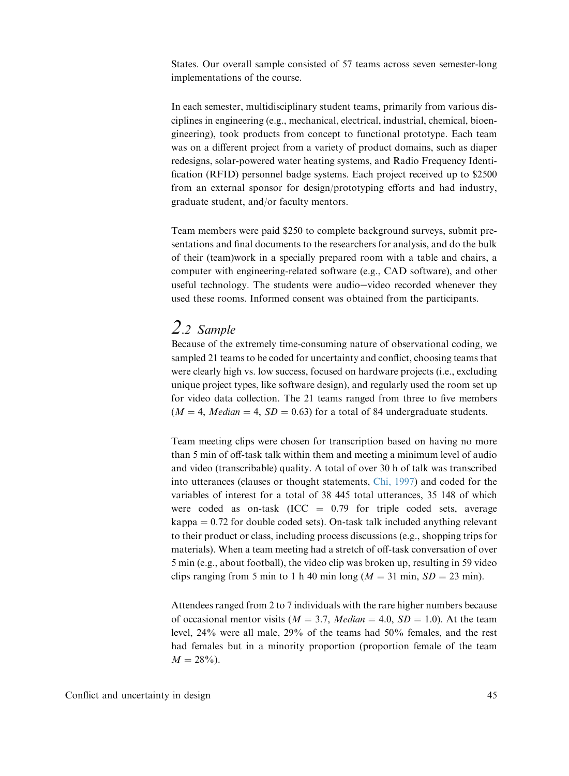States. Our overall sample consisted of 57 teams across seven semester-long implementations of the course.

In each semester, multidisciplinary student teams, primarily from various disciplines in engineering (e.g., mechanical, electrical, industrial, chemical, bioengineering), took products from concept to functional prototype. Each team was on a different project from a variety of product domains, such as diaper redesigns, solar-powered water heating systems, and Radio Frequency Identification (RFID) personnel badge systems. Each project received up to \$2500 from an external sponsor for design/prototyping efforts and had industry, graduate student, and/or faculty mentors.

Team members were paid \$250 to complete background surveys, submit presentations and final documents to the researchers for analysis, and do the bulk of their (team)work in a specially prepared room with a table and chairs, a computer with engineering-related software (e.g., CAD software), and other useful technology. The students were audio-video recorded whenever they used these rooms. Informed consent was obtained from the participants.

## 2.2 Sample

Because of the extremely time-consuming nature of observational coding, we sampled 21 teams to be coded for uncertainty and conflict, choosing teams that were clearly high vs. low success, focused on hardware projects (i.e., excluding unique project types, like software design), and regularly used the room set up for video data collection. The 21 teams ranged from three to five members  $(M = 4, Median = 4, SD = 0.63)$  for a total of 84 undergraduate students.

Team meeting clips were chosen for transcription based on having no more than 5 min of off-task talk within them and meeting a minimum level of audio and video (transcribable) quality. A total of over 30 h of talk was transcribed into utterances (clauses or thought statements, [Chi, 1997\)](#page-26-0) and coded for the variables of interest for a total of 38 445 total utterances, 35 148 of which were coded as on-task (ICC  $= 0.79$  for triple coded sets, average  $kappa = 0.72$  for double coded sets). On-task talk included anything relevant to their product or class, including process discussions (e.g., shopping trips for materials). When a team meeting had a stretch of off-task conversation of over 5 min (e.g., about football), the video clip was broken up, resulting in 59 video clips ranging from 5 min to 1 h 40 min long ( $M = 31$  min,  $SD = 23$  min).

Attendees ranged from 2 to 7 individuals with the rare higher numbers because of occasional mentor visits ( $M = 3.7$ , Median = 4.0, SD = 1.0). At the team level, 24% were all male, 29% of the teams had 50% females, and the rest had females but in a minority proportion (proportion female of the team  $M = 28\%$ ).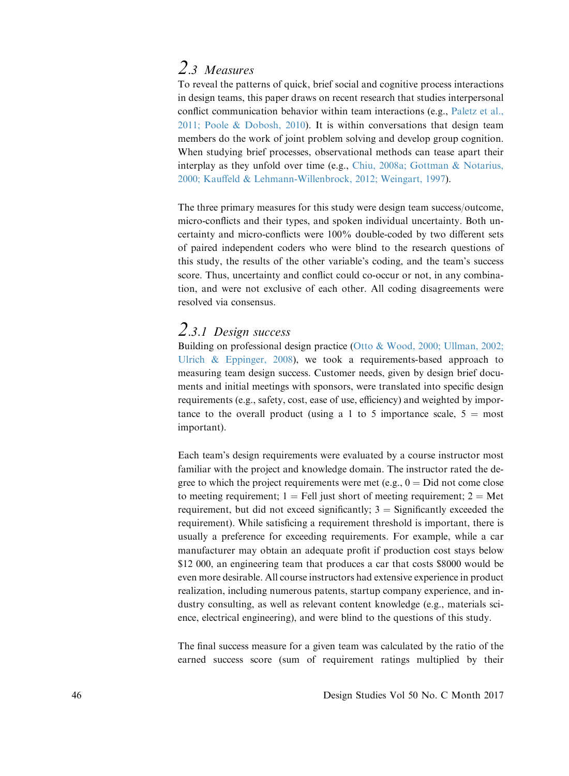## 2.3 Measures

To reveal the patterns of quick, brief social and cognitive process interactions in design teams, this paper draws on recent research that studies interpersonal conflict communication behavior within team interactions (e.g., [Paletz et al.,](#page-28-0) [2011; Poole & Dobosh, 2010](#page-28-0)). It is within conversations that design team members do the work of joint problem solving and develop group cognition. When studying brief processes, observational methods can tease apart their interplay as they unfold over time (e.g., [Chiu, 2008a; Gottman & Notarius,](#page-26-0) [2000; Kauffeld & Lehmann-Willenbrock, 2012; Weingart, 1997](#page-26-0)).

The three primary measures for this study were design team success/outcome, micro-conflicts and their types, and spoken individual uncertainty. Both uncertainty and micro-conflicts were 100% double-coded by two different sets of paired independent coders who were blind to the research questions of this study, the results of the other variable's coding, and the team's success score. Thus, uncertainty and conflict could co-occur or not, in any combination, and were not exclusive of each other. All coding disagreements were resolved via consensus.

## 2.3.1 Design success

Building on professional design practice [\(Otto & Wood, 2000; Ullman, 2002;](#page-28-0) [Ulrich & Eppinger, 2008](#page-28-0)), we took a requirements-based approach to measuring team design success. Customer needs, given by design brief documents and initial meetings with sponsors, were translated into specific design requirements (e.g., safety, cost, ease of use, efficiency) and weighted by importance to the overall product (using a 1 to 5 importance scale,  $5 = \text{most}$ ) important).

Each team's design requirements were evaluated by a course instructor most familiar with the project and knowledge domain. The instructor rated the degree to which the project requirements were met (e.g.,  $0 = Did$  not come close to meeting requirement;  $1 =$  Fell just short of meeting requirement;  $2 =$  Met requirement, but did not exceed significantly;  $3 =$  Significantly exceeded the requirement). While satisficing a requirement threshold is important, there is usually a preference for exceeding requirements. For example, while a car manufacturer may obtain an adequate profit if production cost stays below \$12 000, an engineering team that produces a car that costs \$8000 would be even more desirable. All course instructors had extensive experience in product realization, including numerous patents, startup company experience, and industry consulting, as well as relevant content knowledge (e.g., materials science, electrical engineering), and were blind to the questions of this study.

The final success measure for a given team was calculated by the ratio of the earned success score (sum of requirement ratings multiplied by their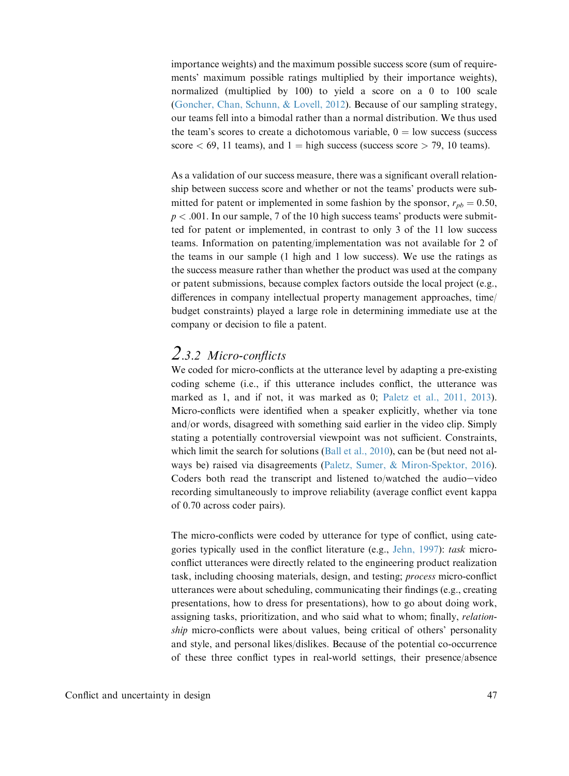importance weights) and the maximum possible success score (sum of requirements' maximum possible ratings multiplied by their importance weights), normalized (multiplied by 100) to yield a score on a 0 to 100 scale [\(Goncher, Chan, Schunn, & Lovell, 2012\)](#page-27-0). Because of our sampling strategy, our teams fell into a bimodal rather than a normal distribution. We thus used the team's scores to create a dichotomous variable,  $0 =$  low success (success score  $<$  69, 11 teams), and 1 = high success (success score  $>$  79, 10 teams).

As a validation of our success measure, there was a significant overall relationship between success score and whether or not the teams' products were submitted for patent or implemented in some fashion by the sponsor,  $r_{ph} = 0.50$ ,  $p < .001$ . In our sample, 7 of the 10 high success teams' products were submitted for patent or implemented, in contrast to only 3 of the 11 low success teams. Information on patenting/implementation was not available for 2 of the teams in our sample (1 high and 1 low success). We use the ratings as the success measure rather than whether the product was used at the company or patent submissions, because complex factors outside the local project (e.g., differences in company intellectual property management approaches, time/ budget constraints) played a large role in determining immediate use at the company or decision to file a patent.

### 2.3.2 Micro-conflicts

We coded for micro-conflicts at the utterance level by adapting a pre-existing coding scheme (i.e., if this utterance includes conflict, the utterance was marked as 1, and if not, it was marked as 0; [Paletz et al., 2011, 2013](#page-28-0)). Micro-conflicts were identified when a speaker explicitly, whether via tone and/or words, disagreed with something said earlier in the video clip. Simply stating a potentially controversial viewpoint was not sufficient. Constraints, which limit the search for solutions ([Ball et al., 2010\)](#page-25-0), can be (but need not always be) raised via disagreements [\(Paletz, Sumer, & Miron-Spektor, 2016](#page-28-0)). Coders both read the transcript and listened to/watched the audio-video recording simultaneously to improve reliability (average conflict event kappa of 0.70 across coder pairs).

The micro-conflicts were coded by utterance for type of conflict, using categories typically used in the conflict literature (e.g., [Jehn, 1997\)](#page-27-0): task microconflict utterances were directly related to the engineering product realization task, including choosing materials, design, and testing; process micro-conflict utterances were about scheduling, communicating their findings (e.g., creating presentations, how to dress for presentations), how to go about doing work, assigning tasks, prioritization, and who said what to whom; finally, relationship micro-conflicts were about values, being critical of others' personality and style, and personal likes/dislikes. Because of the potential co-occurrence of these three conflict types in real-world settings, their presence/absence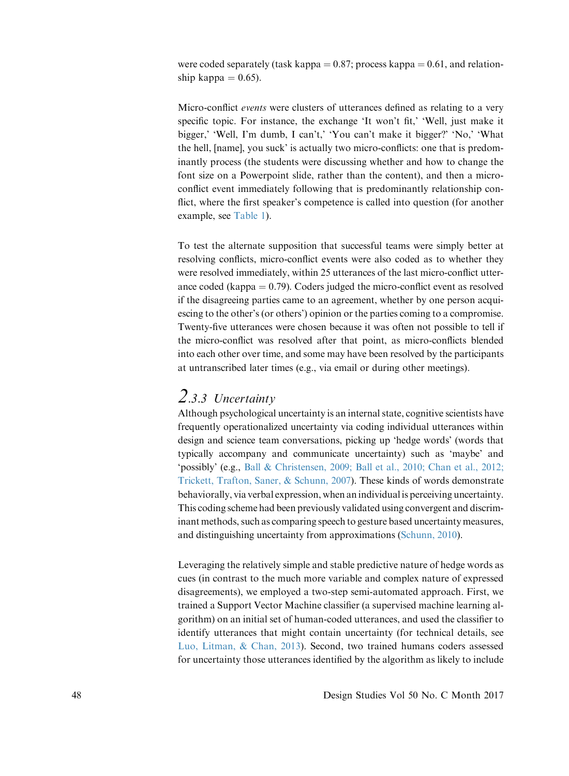were coded separately (task kappa  $= 0.87$ ; process kappa  $= 0.61$ , and relationship kappa  $= 0.65$ ).

Micro-conflict events were clusters of utterances defined as relating to a very specific topic. For instance, the exchange 'It won't fit,' 'Well, just make it bigger,' 'Well, I'm dumb, I can't,' 'You can't make it bigger?' 'No,' 'What the hell, [name], you suck' is actually two micro-conflicts: one that is predominantly process (the students were discussing whether and how to change the font size on a Powerpoint slide, rather than the content), and then a microconflict event immediately following that is predominantly relationship conflict, where the first speaker's competence is called into question (for another example, see [Table 1](#page-10-0)).

To test the alternate supposition that successful teams were simply better at resolving conflicts, micro-conflict events were also coded as to whether they were resolved immediately, within 25 utterances of the last micro-conflict utterance coded (kappa  $= 0.79$ ). Coders judged the micro-conflict event as resolved if the disagreeing parties came to an agreement, whether by one person acquiescing to the other's (or others') opinion or the parties coming to a compromise. Twenty-five utterances were chosen because it was often not possible to tell if the micro-conflict was resolved after that point, as micro-conflicts blended into each other over time, and some may have been resolved by the participants at untranscribed later times (e.g., via email or during other meetings).

## 2.3.3 Uncertainty

Although psychological uncertainty is an internal state, cognitive scientists have frequently operationalized uncertainty via coding individual utterances within design and science team conversations, picking up 'hedge words' (words that typically accompany and communicate uncertainty) such as 'maybe' and 'possibly' (e.g., [Ball & Christensen, 2009; Ball et al., 2010; Chan et al., 2012;](#page-25-0) [Trickett, Trafton, Saner, & Schunn, 2007\)](#page-25-0). These kinds of words demonstrate behaviorally, via verbal expression, when an individual is perceiving uncertainty. This coding scheme had been previously validated using convergent and discriminant methods, such as comparing speech to gesture based uncertainty measures, and distinguishing uncertainty from approximations ([Schunn, 2010](#page-29-0)).

Leveraging the relatively simple and stable predictive nature of hedge words as cues (in contrast to the much more variable and complex nature of expressed disagreements), we employed a two-step semi-automated approach. First, we trained a Support Vector Machine classifier (a supervised machine learning algorithm) on an initial set of human-coded utterances, and used the classifier to identify utterances that might contain uncertainty (for technical details, see [Luo, Litman, & Chan, 2013\)](#page-27-0). Second, two trained humans coders assessed for uncertainty those utterances identified by the algorithm as likely to include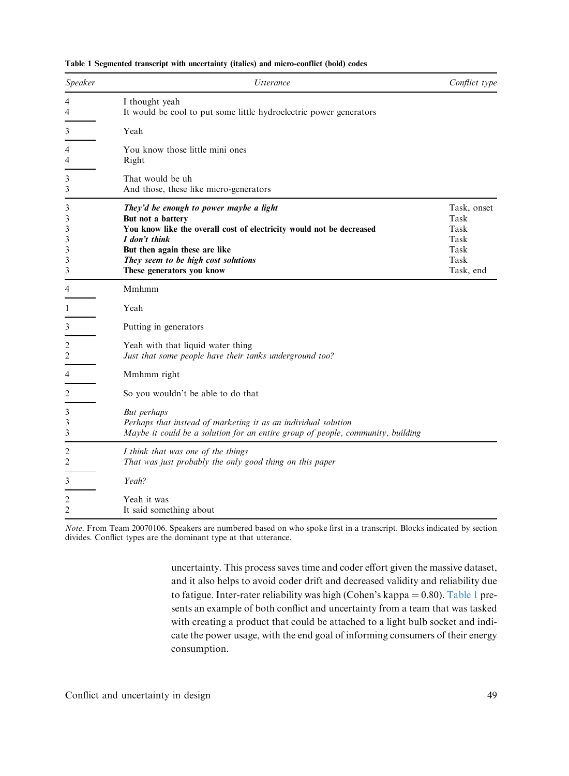<span id="page-10-0"></span>

|  |  |  | Table 1 Segmented transcript with uncertainty (italics) and micro-conflict (bold) codes |  |  |  |
|--|--|--|-----------------------------------------------------------------------------------------|--|--|--|
|--|--|--|-----------------------------------------------------------------------------------------|--|--|--|

| <b>Speaker</b>                  | <i>Utterance</i>                                                                                                                                                                                                                                           | Conflict type                                                    |
|---------------------------------|------------------------------------------------------------------------------------------------------------------------------------------------------------------------------------------------------------------------------------------------------------|------------------------------------------------------------------|
| 4<br>4                          | I thought yeah<br>It would be cool to put some little hydroelectric power generators                                                                                                                                                                       |                                                                  |
| 3                               | Yeah                                                                                                                                                                                                                                                       |                                                                  |
| 4<br>4                          | You know those little mini ones<br>Right                                                                                                                                                                                                                   |                                                                  |
| 3<br>3                          | That would be uh<br>And those, these like micro-generators                                                                                                                                                                                                 |                                                                  |
| 3<br>3<br>3<br>3<br>3<br>3<br>3 | They'd be enough to power maybe a light<br>But not a battery<br>You know like the overall cost of electricity would not be decreased<br>I don't think<br>But then again these are like<br>They seem to be high cost solutions<br>These generators you know | Task, onset<br>Task<br>Task<br>Task<br>Task<br>Task<br>Task, end |
| 4                               | Mmhmm                                                                                                                                                                                                                                                      |                                                                  |
| 1                               | Yeah                                                                                                                                                                                                                                                       |                                                                  |
| 3                               | Putting in generators                                                                                                                                                                                                                                      |                                                                  |
| 2<br>2                          | Yeah with that liquid water thing<br>Just that some people have their tanks underground too?                                                                                                                                                               |                                                                  |
| 4                               | Mmhmm right                                                                                                                                                                                                                                                |                                                                  |
| $\overline{c}$                  | So you wouldn't be able to do that                                                                                                                                                                                                                         |                                                                  |
| 3<br>3<br>3                     | But perhaps<br>Perhaps that instead of marketing it as an individual solution<br>Maybe it could be a solution for an entire group of people, community, building                                                                                           |                                                                  |
| 2<br>2                          | I think that was one of the things<br>That was just probably the only good thing on this paper                                                                                                                                                             |                                                                  |
| 3                               | Yeah?                                                                                                                                                                                                                                                      |                                                                  |
| 2<br>$\overline{2}$             | Yeah it was<br>It said something about                                                                                                                                                                                                                     |                                                                  |

Note. From Team 20070106. Speakers are numbered based on who spoke first in a transcript. Blocks indicated by section divides. Conflict types are the dominant type at that utterance.

> uncertainty. This process saves time and coder effort given the massive dataset, and it also helps to avoid coder drift and decreased validity and reliability due to fatigue. Inter-rater reliability was high (Cohen's kappa  $= 0.80$ ). Table 1 presents an example of both conflict and uncertainty from a team that was tasked with creating a product that could be attached to a light bulb socket and indicate the power usage, with the end goal of informing consumers of their energy consumption.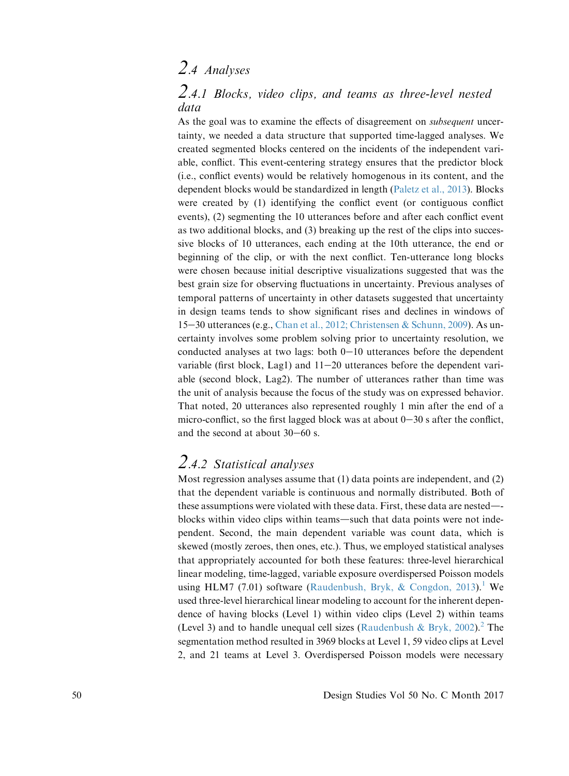# 2.4 Analyses

### 2.4.1 Blocks, video clips, and teams as three-level nested data

As the goal was to examine the effects of disagreement on *subsequent* uncertainty, we needed a data structure that supported time-lagged analyses. We created segmented blocks centered on the incidents of the independent variable, conflict. This event-centering strategy ensures that the predictor block (i.e., conflict events) would be relatively homogenous in its content, and the dependent blocks would be standardized in length ([Paletz et al., 2013\)](#page-28-0). Blocks were created by (1) identifying the conflict event (or contiguous conflict events), (2) segmenting the 10 utterances before and after each conflict event as two additional blocks, and (3) breaking up the rest of the clips into successive blocks of 10 utterances, each ending at the 10th utterance, the end or beginning of the clip, or with the next conflict. Ten-utterance long blocks were chosen because initial descriptive visualizations suggested that was the best grain size for observing fluctuations in uncertainty. Previous analyses of temporal patterns of uncertainty in other datasets suggested that uncertainty in design teams tends to show significant rises and declines in windows of 15-30 utterances (e.g., [Chan et al., 2012; Christensen & Schunn, 2009\)](#page-26-0). As uncertainty involves some problem solving prior to uncertainty resolution, we conducted analyses at two lags: both  $0-10$  utterances before the dependent variable (first block, Lag1) and  $11-20$  utterances before the dependent variable (second block, Lag2). The number of utterances rather than time was the unit of analysis because the focus of the study was on expressed behavior. That noted, 20 utterances also represented roughly 1 min after the end of a micro-conflict, so the first lagged block was at about  $0-30$  s after the conflict, and the second at about  $30-60$  s.

### 2.4.2 Statistical analyses

Most regression analyses assume that (1) data points are independent, and (2) that the dependent variable is continuous and normally distributed. Both of these assumptions were violated with these data. First, these data are nestedblocks within video clips within teams—such that data points were not independent. Second, the main dependent variable was count data, which is skewed (mostly zeroes, then ones, etc.). Thus, we employed statistical analyses that appropriately accounted for both these features: three-level hierarchical linear modeling, time-lagged, variable exposure overdispersed Poisson models using HLM7 (7.01) software ([Raudenbush, Bryk, & Congdon, 2013](#page-29-0)).<sup>[1](#page-24-0)</sup> We used three-level hierarchical linear modeling to account for the inherent dependence of having blocks (Level 1) within video clips (Level 2) within teams (Level 3) and to handle unequal cell sizes [\(Raudenbush & Bryk, 2002](#page-29-0)).<sup>[2](#page-25-0)</sup> The segmentation method resulted in 3969 blocks at Level 1, 59 video clips at Level 2, and 21 teams at Level 3. Overdispersed Poisson models were necessary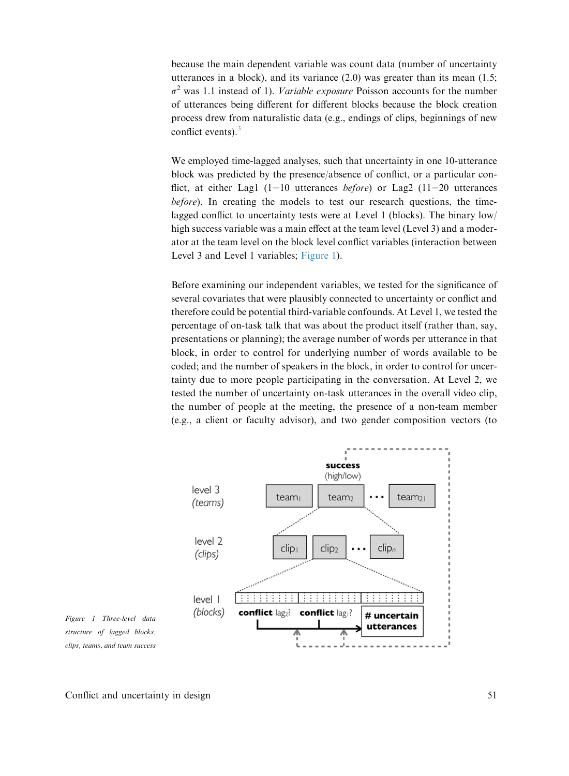because the main dependent variable was count data (number of uncertainty utterances in a block), and its variance (2.0) was greater than its mean (1.5;  $\sigma^2$  was 1.1 instead of 1). *Variable exposure* Poisson accounts for the number of utterances being different for different blocks because the block creation process drew from naturalistic data (e.g., endings of clips, beginnings of new conflict events). $3$ 

We employed time-lagged analyses, such that uncertainty in one 10-utterance block was predicted by the presence/absence of conflict, or a particular conflict, at either Lag1  $(1-10$  utterances *before*) or Lag2  $(11-20)$  utterances before). In creating the models to test our research questions, the timelagged conflict to uncertainty tests were at Level 1 (blocks). The binary low/ high success variable was a main effect at the team level (Level 3) and a moderator at the team level on the block level conflict variables (interaction between Level 3 and Level 1 variables; Figure 1).

Before examining our independent variables, we tested for the significance of several covariates that were plausibly connected to uncertainty or conflict and therefore could be potential third-variable confounds. At Level 1, we tested the percentage of on-task talk that was about the product itself (rather than, say, presentations or planning); the average number of words per utterance in that block, in order to control for underlying number of words available to be coded; and the number of speakers in the block, in order to control for uncertainty due to more people participating in the conversation. At Level 2, we tested the number of uncertainty on-task utterances in the overall video clip, the number of people at the meeting, the presence of a non-team member (e.g., a client or faculty advisor), and two gender composition vectors (to



Figure 1 Three-level data structure of lagged blocks, clips, teams, and team success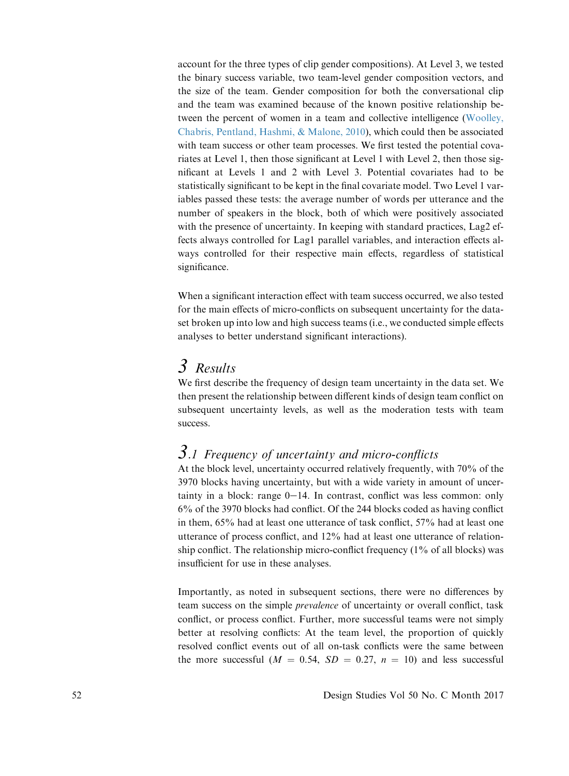account for the three types of clip gender compositions). At Level 3, we tested the binary success variable, two team-level gender composition vectors, and the size of the team. Gender composition for both the conversational clip and the team was examined because of the known positive relationship between the percent of women in a team and collective intelligence ([Woolley,](#page-30-0) [Chabris, Pentland, Hashmi, & Malone, 2010\)](#page-30-0), which could then be associated with team success or other team processes. We first tested the potential covariates at Level 1, then those significant at Level 1 with Level 2, then those significant at Levels 1 and 2 with Level 3. Potential covariates had to be statistically significant to be kept in the final covariate model. Two Level 1 variables passed these tests: the average number of words per utterance and the number of speakers in the block, both of which were positively associated with the presence of uncertainty. In keeping with standard practices, Lag2 effects always controlled for Lag1 parallel variables, and interaction effects always controlled for their respective main effects, regardless of statistical significance.

When a significant interaction effect with team success occurred, we also tested for the main effects of micro-conflicts on subsequent uncertainty for the dataset broken up into low and high success teams (i.e., we conducted simple effects analyses to better understand significant interactions).

# 3 Results

We first describe the frequency of design team uncertainty in the data set. We then present the relationship between different kinds of design team conflict on subsequent uncertainty levels, as well as the moderation tests with team success.

### $3.1$  Frequency of uncertainty and micro-conflicts

At the block level, uncertainty occurred relatively frequently, with 70% of the 3970 blocks having uncertainty, but with a wide variety in amount of uncertainty in a block: range  $0-14$ . In contrast, conflict was less common: only 6% of the 3970 blocks had conflict. Of the 244 blocks coded as having conflict in them, 65% had at least one utterance of task conflict, 57% had at least one utterance of process conflict, and 12% had at least one utterance of relationship conflict. The relationship micro-conflict frequency  $(1\%$  of all blocks) was insufficient for use in these analyses.

Importantly, as noted in subsequent sections, there were no differences by team success on the simple prevalence of uncertainty or overall conflict, task conflict, or process conflict. Further, more successful teams were not simply better at resolving conflicts: At the team level, the proportion of quickly resolved conflict events out of all on-task conflicts were the same between the more successful ( $M = 0.54$ ,  $SD = 0.27$ ,  $n = 10$ ) and less successful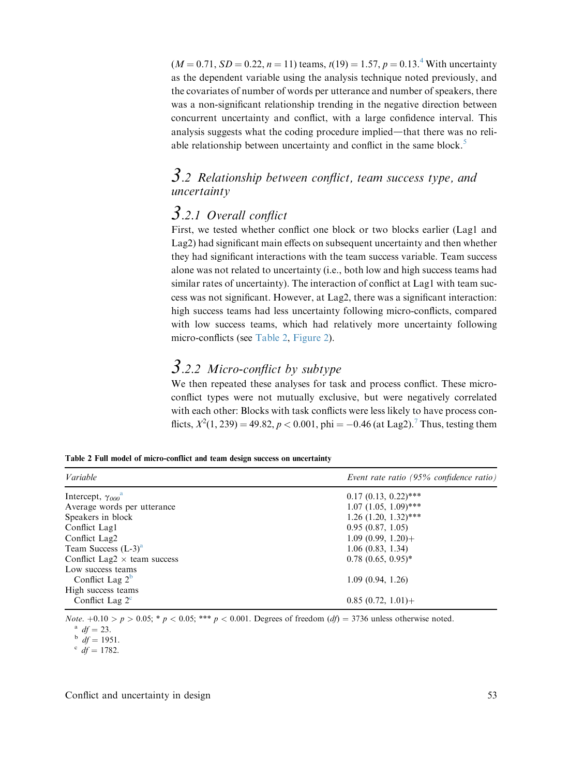$(M = 0.71, SD = 0.22, n = 11)$  teams,  $t(19) = 1.57, p = 0.13<sup>4</sup>$  $t(19) = 1.57, p = 0.13<sup>4</sup>$  $t(19) = 1.57, p = 0.13<sup>4</sup>$  With uncertainty as the dependent variable using the analysis technique noted previously, and the covariates of number of words per utterance and number of speakers, there was a non-significant relationship trending in the negative direction between concurrent uncertainty and conflict, with a large confidence interval. This analysis suggests what the coding procedure implied—that there was no reli-able relationship between uncertainty and conflict in the same block.<sup>[5](#page-25-0)</sup>

## $3.2$  Relationship between conflict, team success type, and uncertainty

## 3.2.1 Overall conflict

First, we tested whether conflict one block or two blocks earlier (Lag1 and Lag2) had significant main effects on subsequent uncertainty and then whether they had significant interactions with the team success variable. Team success alone was not related to uncertainty (i.e., both low and high success teams had similar rates of uncertainty). The interaction of conflict at Lag1 with team success was not significant. However, at Lag2, there was a significant interaction: high success teams had less uncertainty following micro-conflicts, compared with low success teams, which had relatively more uncertainty following micro-conflicts (see Table 2, [Figure 2\)](#page-15-0).

## 3.2.2 Micro-conflict by subtype

We then repeated these analyses for task and process conflict. These microconflict types were not mutually exclusive, but were negatively correlated with each other: Blocks with task conflicts were less likely to have process conflicts,  $X^2(1, 239) = 49.82, p < 0.001$ , phi = -0.46 (at Lag2).<sup>[7](#page-25-0)</sup> Thus, testing them

Table 2 Full model of micro-conflict and team design success on uncertainty

| Variable                               | Event rate ratio (95% confidence ratio) |  |  |
|----------------------------------------|-----------------------------------------|--|--|
| Intercept, $\gamma_{000}$ <sup>a</sup> | $0.17(0.13, 0.22)$ ***                  |  |  |
| Average words per utterance            | $1.07(1.05, 1.09)$ ***                  |  |  |
| Speakers in block                      | $1.26$ $(1.20, 1.32)$ ***               |  |  |
| Conflict Lag1                          | 0.95(0.87, 1.05)                        |  |  |
| Conflict Lag2                          | $1.09(0.99, 1.20) +$                    |  |  |
| Team Success $(L-3)^a$                 | 1.06(0.83, 1.34)                        |  |  |
| Conflict Lag2 $\times$ team success    | $0.78(0.65, 0.95)^*$                    |  |  |
| Low success teams                      |                                         |  |  |
| Conflict Lag $2^b$                     | 1.09(0.94, 1.26)                        |  |  |
| High success teams                     |                                         |  |  |
| Conflict Lag $2c$                      | $0.85(0.72, 1.01) +$                    |  |  |

Note. +0.10 > p > 0.05; \* p < 0.05; \*\*\* p < 0.001. Degrees of freedom (df) = 3736 unless otherwise noted.<br>
a df = 23.<br>
b df = 1951.<br>
c df = 1782.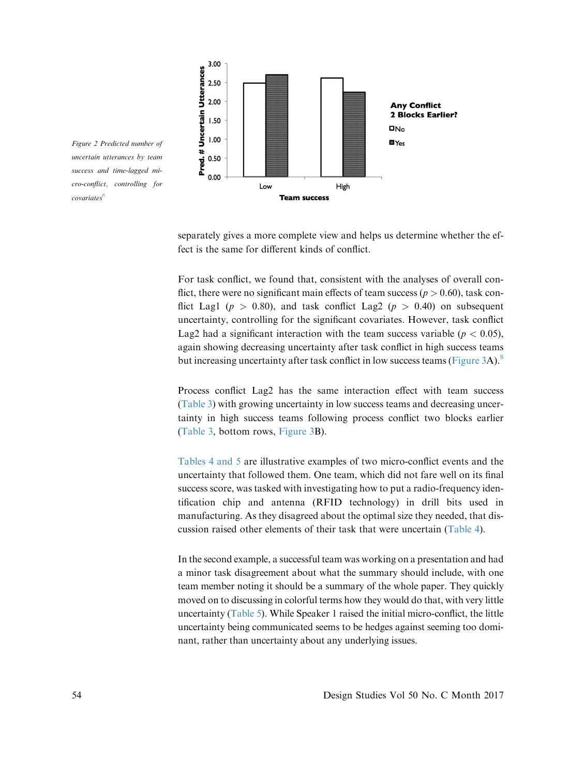

<span id="page-15-0"></span>Figure 2 Predicted number of uncertain utterances by team success and time-lagged micro-conflict, controlling for  $covariates^6$  $covariates^6$ 

separately gives a more complete view and helps us determine whether the effect is the same for different kinds of conflict.

For task conflict, we found that, consistent with the analyses of overall conflict, there were no significant main effects of team success ( $p > 0.60$ ), task conflict Lag1 ( $p > 0.80$ ), and task conflict Lag2 ( $p > 0.40$ ) on subsequent uncertainty, controlling for the significant covariates. However, task conflict Lag2 had a significant interaction with the team success variable ( $p < 0.05$ ), again showing decreasing uncertainty after task conflict in high success teams but increasing uncertainty after task conflict in low success teams [\(Figure 3A](#page-16-0)).<sup>[8](#page-25-0)</sup>

Process conflict Lag2 has the same interaction effect with team success [\(Table 3](#page-16-0)) with growing uncertainty in low success teams and decreasing uncertainty in high success teams following process conflict two blocks earlier [\(Table 3,](#page-16-0) bottom rows, [Figure 3B](#page-16-0)).

[Tables 4 and 5](#page-17-0) are illustrative examples of two micro-conflict events and the uncertainty that followed them. One team, which did not fare well on its final success score, was tasked with investigating how to put a radio-frequency identification chip and antenna (RFID technology) in drill bits used in manufacturing. As they disagreed about the optimal size they needed, that discussion raised other elements of their task that were uncertain [\(Table 4](#page-17-0)).

In the second example, a successful team was working on a presentation and had a minor task disagreement about what the summary should include, with one team member noting it should be a summary of the whole paper. They quickly moved on to discussing in colorful terms how they would do that, with very little uncertainty ([Table 5](#page-18-0)). While Speaker 1 raised the initial micro-conflict, the little uncertainty being communicated seems to be hedges against seeming too dominant, rather than uncertainty about any underlying issues.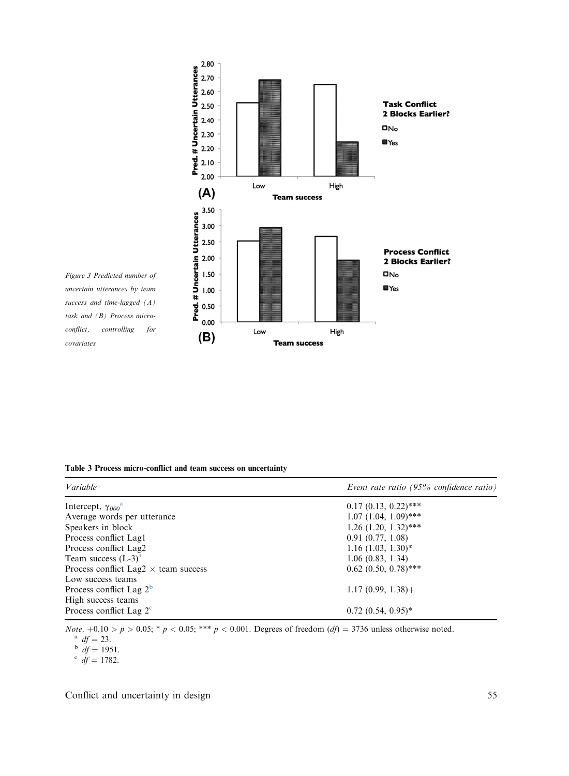<span id="page-16-0"></span>

Figure 3 Predicted number of uncertain utterances by team success and time-lagged (A) task and (B) Process microconflict, controlling for covariates

Table 3 Process micro-conflict and team success on uncertainty

| Variable                                    | Event rate ratio (95% confidence ratio) |  |  |
|---------------------------------------------|-----------------------------------------|--|--|
| Intercept, $\gamma_{000}$ <sup>a</sup>      | $0.17(0.13, 0.22)$ ***                  |  |  |
| Average words per utterance                 | $1.07(1.04, 1.09)$ ***                  |  |  |
| Speakers in block                           | $1.26$ $(1.20, 1.32)$ ***               |  |  |
| Process conflict Lag1                       | 0.91(0.77, 1.08)                        |  |  |
| Process conflict Lag2                       | $1.16$ (1.03, 1.30)*                    |  |  |
| Team success $(L-3)^a$                      | 1.06(0.83, 1.34)                        |  |  |
| Process conflict Lag2 $\times$ team success | $0.62$ $(0.50, 0.78)$ ***               |  |  |
| Low success teams                           |                                         |  |  |
| Process conflict Lag $2^b$                  | $1.17(0.99, 1.38) +$                    |  |  |
| High success teams                          |                                         |  |  |
| Process conflict Lag 2 <sup>c</sup>         | $0.72(0.54, 0.95)^*$                    |  |  |

Note. +0.10 > p > 0.05; \* p < 0.05; \*\*\* p < 0.001. Degrees of freedom (df) = 3736 unless otherwise noted.<br>
a df = 23.<br>
b df = 1951.<br>
c df = 1782.

Conflict and uncertainty in design 55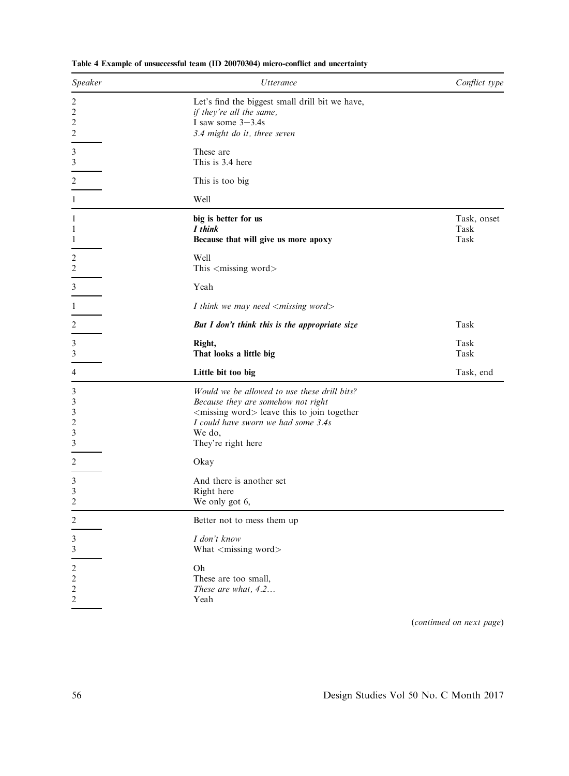| Speaker                                                                       | <i>Utterance</i>                                                                                                                                                                                                          | Conflict type               |
|-------------------------------------------------------------------------------|---------------------------------------------------------------------------------------------------------------------------------------------------------------------------------------------------------------------------|-----------------------------|
| $\overline{c}$<br>2<br>$\overline{c}$<br>$\overline{2}$                       | Let's find the biggest small drill bit we have,<br>if they're all the same,<br>I saw some $3-3.4s$<br>3.4 might do it, three seven                                                                                        |                             |
| 3<br>3                                                                        | These are<br>This is 3.4 here                                                                                                                                                                                             |                             |
| $\overline{2}$                                                                | This is too big                                                                                                                                                                                                           |                             |
| 1                                                                             | Well                                                                                                                                                                                                                      |                             |
| 1<br>1<br>1                                                                   | big is better for us<br>I think<br>Because that will give us more apoxy                                                                                                                                                   | Task, onset<br>Task<br>Task |
| $\overline{c}$<br>2                                                           | Well<br>This $\langle$ missing word $\rangle$                                                                                                                                                                             |                             |
| 3                                                                             | Yeah                                                                                                                                                                                                                      |                             |
| 1                                                                             | I think we may need $\langle$ missing word $\rangle$                                                                                                                                                                      |                             |
| $\overline{c}$                                                                | But I don't think this is the appropriate size                                                                                                                                                                            | Task                        |
| 3<br>3                                                                        | Right,<br>That looks a little big                                                                                                                                                                                         | Task<br>Task                |
| 4                                                                             | Little bit too big                                                                                                                                                                                                        | Task, end                   |
| 3<br>3<br>$\mathfrak{Z}$<br>$\overline{c}$<br>$\mathfrak{Z}$<br>3             | Would we be allowed to use these drill bits?<br>Because they are somehow not right<br>$\langle$ missing word $\rangle$ leave this to join together<br>I could have sworn we had some 3.4s<br>We do.<br>They're right here |                             |
| $\sqrt{2}$                                                                    | Okay                                                                                                                                                                                                                      |                             |
| 3<br>3<br>$\overline{c}$                                                      | And there is another set<br>Right here<br>We only got 6,                                                                                                                                                                  |                             |
| 2                                                                             | Better not to mess them up                                                                                                                                                                                                |                             |
| 3<br>3                                                                        | I don't know<br>What <missing word=""></missing>                                                                                                                                                                          |                             |
| $\overline{\mathbf{c}}$<br>$\overline{c}$<br>$\overline{c}$<br>$\overline{2}$ | Oh<br>These are too small,<br>These are what, 4.2<br>Yeah                                                                                                                                                                 |                             |

<span id="page-17-0"></span>Table 4 Example of unsuccessful team (ID 20070304) micro-conflict and uncertainty

(continued on next page)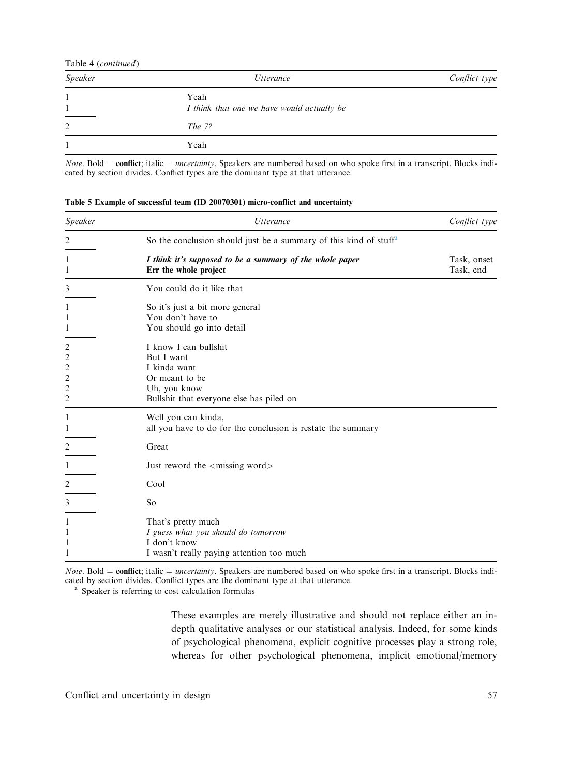<span id="page-18-0"></span>

| Table 4 ( <i>continued</i> ) |                                                    |               |
|------------------------------|----------------------------------------------------|---------------|
| Speaker                      | <i>Utterance</i>                                   | Conflict type |
| 1<br>-1                      | Yeah<br>I think that one we have would actually be |               |
| 2                            | The $72$                                           |               |
|                              | Yeah                                               |               |

*Note.* Bold = conflict: italic = *uncertainty*. Speakers are numbered based on who spoke first in a transcript. Blocks indicated by section divides. Conflict types are the dominant type at that utterance.

| Speaker                                                                                                       | <i>Utterance</i>                                                                                                                  | Conflict type            |
|---------------------------------------------------------------------------------------------------------------|-----------------------------------------------------------------------------------------------------------------------------------|--------------------------|
| 2                                                                                                             | So the conclusion should just be a summary of this kind of stuff <sup>a</sup>                                                     |                          |
| 1<br>1                                                                                                        | I think it's supposed to be a summary of the whole paper<br>Err the whole project                                                 | Task, onset<br>Task, end |
| 3                                                                                                             | You could do it like that                                                                                                         |                          |
| 1<br>1<br>1                                                                                                   | So it's just a bit more general<br>You don't have to<br>You should go into detail                                                 |                          |
| $\overline{\mathbf{c}}$<br>$\overline{\mathbf{c}}$<br>$\overline{c}$<br>$\overline{c}$<br>$\overline{2}$<br>2 | I know I can bullshit<br>But I want<br>I kinda want<br>Or meant to be<br>Uh, you know<br>Bullshit that everyone else has piled on |                          |
| 1<br>1                                                                                                        | Well you can kinda,<br>all you have to do for the conclusion is restate the summary                                               |                          |
| 2                                                                                                             | Great                                                                                                                             |                          |
| 1                                                                                                             | Just reword the $\langle$ missing word $\rangle$                                                                                  |                          |
| 2                                                                                                             | Cool                                                                                                                              |                          |
| 3                                                                                                             | So                                                                                                                                |                          |
| 1<br>1<br>1<br>1                                                                                              | That's pretty much<br>I guess what you should do tomorrow<br>I don't know<br>I wasn't really paying attention too much            |                          |

|  |  |  | Table 5 Example of successful team (ID 20070301) micro-conflict and uncertainty |
|--|--|--|---------------------------------------------------------------------------------|
|  |  |  |                                                                                 |

*Note.* Bold = conflict; italic = *uncertainty*. Speakers are numbered based on who spoke first in a transcript. Blocks indicated by section divides. Conflict types are the dominant type at that utterance.

<sup>a</sup> Speaker is referring to cost calculation formulas

These examples are merely illustrative and should not replace either an indepth qualitative analyses or our statistical analysis. Indeed, for some kinds of psychological phenomena, explicit cognitive processes play a strong role, whereas for other psychological phenomena, implicit emotional/memory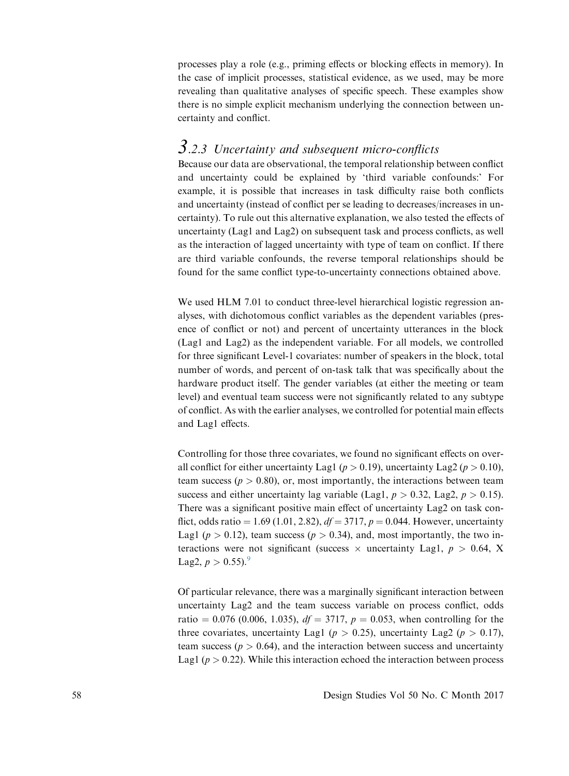processes play a role (e.g., priming effects or blocking effects in memory). In the case of implicit processes, statistical evidence, as we used, may be more revealing than qualitative analyses of specific speech. These examples show there is no simple explicit mechanism underlying the connection between uncertainty and conflict.

### $3.2.3$  Uncertainty and subsequent micro-conflicts

Because our data are observational, the temporal relationship between conflict and uncertainty could be explained by 'third variable confounds:' For example, it is possible that increases in task difficulty raise both conflicts and uncertainty (instead of conflict per se leading to decreases/increases in uncertainty). To rule out this alternative explanation, we also tested the effects of uncertainty (Lag1 and Lag2) on subsequent task and process conflicts, as well as the interaction of lagged uncertainty with type of team on conflict. If there are third variable confounds, the reverse temporal relationships should be found for the same conflict type-to-uncertainty connections obtained above.

We used HLM 7.01 to conduct three-level hierarchical logistic regression analyses, with dichotomous conflict variables as the dependent variables (presence of conflict or not) and percent of uncertainty utterances in the block (Lag1 and Lag2) as the independent variable. For all models, we controlled for three significant Level-1 covariates: number of speakers in the block, total number of words, and percent of on-task talk that was specifically about the hardware product itself. The gender variables (at either the meeting or team level) and eventual team success were not significantly related to any subtype of conflict. As with the earlier analyses, we controlled for potential main effects and Lag1 effects.

Controlling for those three covariates, we found no significant effects on overall conflict for either uncertainty Lag1 ( $p > 0.19$ ), uncertainty Lag2 ( $p > 0.10$ ), team success ( $p > 0.80$ ), or, most importantly, the interactions between team success and either uncertainty lag variable (Lag1,  $p > 0.32$ , Lag2,  $p > 0.15$ ). There was a significant positive main effect of uncertainty Lag2 on task conflict, odds ratio = 1.69 (1.01, 2.82),  $df = 3717$ ,  $p = 0.044$ . However, uncertainty Lag1 ( $p > 0.12$ ), team success ( $p > 0.34$ ), and, most importantly, the two interactions were not significant (success  $\times$  uncertainty Lag1,  $p > 0.64$ , X Lag2,  $p > 0.55$ ).<sup>[9](#page-25-0)</sup>

Of particular relevance, there was a marginally significant interaction between uncertainty Lag2 and the team success variable on process conflict, odds ratio = 0.076 (0.006, 1.035),  $df = 3717$ ,  $p = 0.053$ , when controlling for the three covariates, uncertainty Lag1 ( $p > 0.25$ ), uncertainty Lag2 ( $p > 0.17$ ), team success ( $p > 0.64$ ), and the interaction between success and uncertainty Lag1 ( $p > 0.22$ ). While this interaction echoed the interaction between process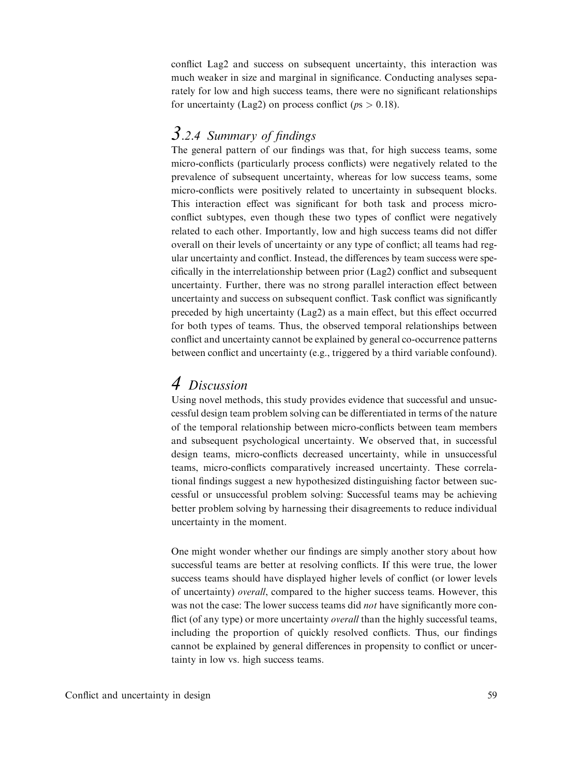conflict Lag2 and success on subsequent uncertainty, this interaction was much weaker in size and marginal in significance. Conducting analyses separately for low and high success teams, there were no significant relationships for uncertainty (Lag2) on process conflict ( $p_s > 0.18$ ).

## 3.2.4 Summary of findings

The general pattern of our findings was that, for high success teams, some micro-conflicts (particularly process conflicts) were negatively related to the prevalence of subsequent uncertainty, whereas for low success teams, some micro-conflicts were positively related to uncertainty in subsequent blocks. This interaction effect was significant for both task and process microconflict subtypes, even though these two types of conflict were negatively related to each other. Importantly, low and high success teams did not differ overall on their levels of uncertainty or any type of conflict; all teams had regular uncertainty and conflict. Instead, the differences by team success were specifically in the interrelationship between prior (Lag2) conflict and subsequent uncertainty. Further, there was no strong parallel interaction effect between uncertainty and success on subsequent conflict. Task conflict was significantly preceded by high uncertainty (Lag2) as a main effect, but this effect occurred for both types of teams. Thus, the observed temporal relationships between conflict and uncertainty cannot be explained by general co-occurrence patterns between conflict and uncertainty (e.g., triggered by a third variable confound).

## 4 Discussion

Using novel methods, this study provides evidence that successful and unsuccessful design team problem solving can be differentiated in terms of the nature of the temporal relationship between micro-conflicts between team members and subsequent psychological uncertainty. We observed that, in successful design teams, micro-conflicts decreased uncertainty, while in unsuccessful teams, micro-conflicts comparatively increased uncertainty. These correlational findings suggest a new hypothesized distinguishing factor between successful or unsuccessful problem solving: Successful teams may be achieving better problem solving by harnessing their disagreements to reduce individual uncertainty in the moment.

One might wonder whether our findings are simply another story about how successful teams are better at resolving conflicts. If this were true, the lower success teams should have displayed higher levels of conflict (or lower levels of uncertainty) overall, compared to the higher success teams. However, this was not the case: The lower success teams did *not* have significantly more conflict (of any type) or more uncertainty *overall* than the highly successful teams, including the proportion of quickly resolved conflicts. Thus, our findings cannot be explained by general differences in propensity to conflict or uncertainty in low vs. high success teams.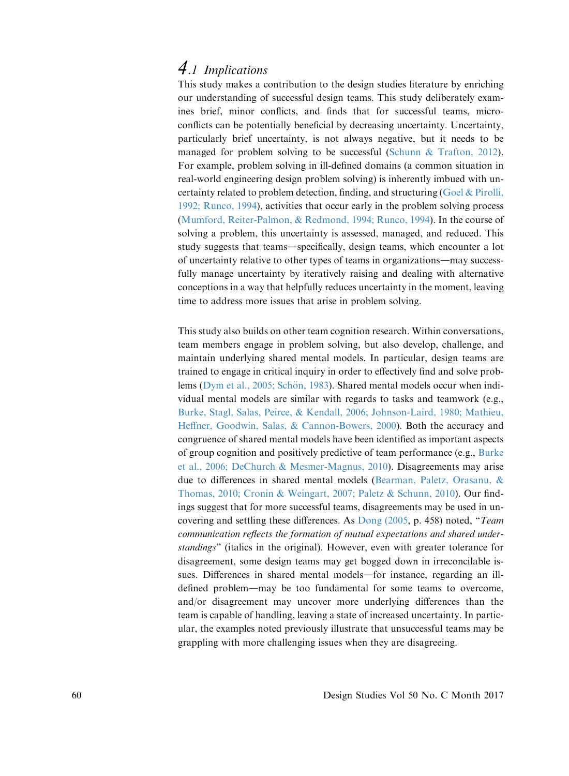## 4.1 Implications

This study makes a contribution to the design studies literature by enriching our understanding of successful design teams. This study deliberately examines brief, minor conflicts, and finds that for successful teams, microconflicts can be potentially beneficial by decreasing uncertainty. Uncertainty, particularly brief uncertainty, is not always negative, but it needs to be managed for problem solving to be successful ([Schunn & Trafton, 2012](#page-29-0)). For example, problem solving in ill-defined domains (a common situation in real-world engineering design problem solving) is inherently imbued with uncertainty related to problem detection, finding, and structuring ([Goel & Pirolli,](#page-27-0) [1992; Runco, 1994\)](#page-27-0), activities that occur early in the problem solving process [\(Mumford, Reiter-Palmon, & Redmond, 1994; Runco, 1994](#page-28-0)). In the course of solving a problem, this uncertainty is assessed, managed, and reduced. This study suggests that teams—specifically, design teams, which encounter a lot of uncertainty relative to other types of teams in organizations—may successfully manage uncertainty by iteratively raising and dealing with alternative conceptions in a way that helpfully reduces uncertainty in the moment, leaving time to address more issues that arise in problem solving.

This study also builds on other team cognition research. Within conversations, team members engage in problem solving, but also develop, challenge, and maintain underlying shared mental models. In particular, design teams are trained to engage in critical inquiry in order to effectively find and solve problems (Dym et al., 2005; Schön, 1983). Shared mental models occur when individual mental models are similar with regards to tasks and teamwork (e.g., [Burke, Stagl, Salas, Peirce, & Kendall, 2006; Johnson-Laird, 1980; Mathieu,](#page-26-0) [Heffner, Goodwin, Salas, & Cannon-Bowers, 2000](#page-26-0)). Both the accuracy and congruence of shared mental models have been identified as important aspects of group cognition and positively predictive of team performance (e.g., [Burke](#page-26-0) [et al., 2006; DeChurch & Mesmer-Magnus, 2010](#page-26-0)). Disagreements may arise due to differences in shared mental models [\(Bearman, Paletz, Orasanu, &](#page-25-0) [Thomas, 2010; Cronin & Weingart, 2007; Paletz & Schunn, 2010](#page-25-0)). Our findings suggest that for more successful teams, disagreements may be used in uncovering and settling these differences. As [Dong \(2005](#page-26-0), p. 458) noted, "Team communication reflects the formation of mutual expectations and shared understandings" (italics in the original). However, even with greater tolerance for disagreement, some design teams may get bogged down in irreconcilable issues. Differences in shared mental models—for instance, regarding an illdefined problem—may be too fundamental for some teams to overcome, and/or disagreement may uncover more underlying differences than the team is capable of handling, leaving a state of increased uncertainty. In particular, the examples noted previously illustrate that unsuccessful teams may be grappling with more challenging issues when they are disagreeing.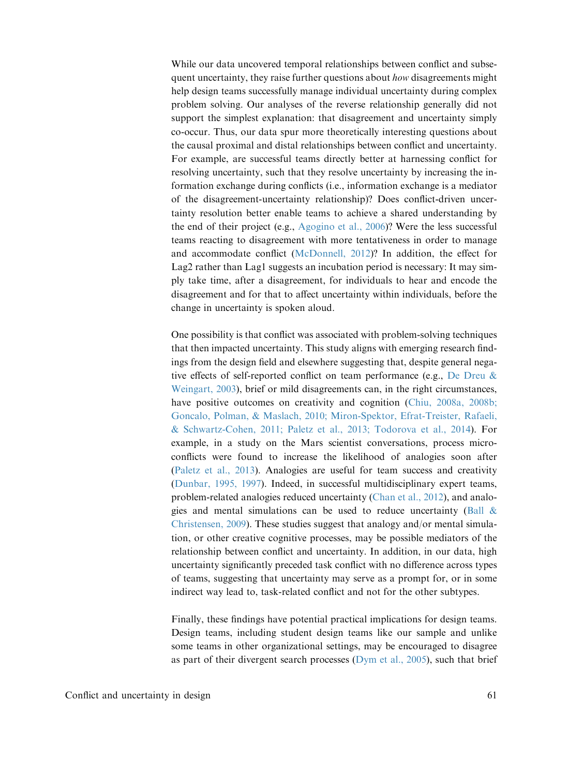While our data uncovered temporal relationships between conflict and subsequent uncertainty, they raise further questions about how disagreements might help design teams successfully manage individual uncertainty during complex problem solving. Our analyses of the reverse relationship generally did not support the simplest explanation: that disagreement and uncertainty simply co-occur. Thus, our data spur more theoretically interesting questions about the causal proximal and distal relationships between conflict and uncertainty. For example, are successful teams directly better at harnessing conflict for resolving uncertainty, such that they resolve uncertainty by increasing the information exchange during conflicts (i.e., information exchange is a mediator of the disagreement-uncertainty relationship)? Does conflict-driven uncertainty resolution better enable teams to achieve a shared understanding by the end of their project (e.g., [Agogino et al., 2006\)](#page-25-0)? Were the less successful teams reacting to disagreement with more tentativeness in order to manage and accommodate conflict [\(McDonnell, 2012\)](#page-28-0)? In addition, the effect for Lag2 rather than Lag1 suggests an incubation period is necessary: It may simply take time, after a disagreement, for individuals to hear and encode the disagreement and for that to affect uncertainty within individuals, before the change in uncertainty is spoken aloud.

One possibility is that conflict was associated with problem-solving techniques that then impacted uncertainty. This study aligns with emerging research findings from the design field and elsewhere suggesting that, despite general negative effects of self-reported conflict on team performance (e.g., [De Dreu &](#page-26-0) [Weingart, 2003\)](#page-26-0), brief or mild disagreements can, in the right circumstances, have positive outcomes on creativity and cognition ([Chiu, 2008a, 2008b;](#page-26-0) [Goncalo, Polman, & Maslach, 2010; Miron-Spektor, Efrat-Treister, Rafaeli,](#page-26-0) [& Schwartz-Cohen, 2011; Paletz et al., 2013; Todorova et al., 2014](#page-26-0)). For example, in a study on the Mars scientist conversations, process microconflicts were found to increase the likelihood of analogies soon after [\(Paletz et al., 2013\)](#page-28-0). Analogies are useful for team success and creativity [\(Dunbar, 1995, 1997\)](#page-27-0). Indeed, in successful multidisciplinary expert teams, problem-related analogies reduced uncertainty ([Chan et al., 2012](#page-26-0)), and analogies and mental simulations can be used to reduce uncertainty (Ball  $\&$ [Christensen, 2009\)](#page-25-0). These studies suggest that analogy and/or mental simulation, or other creative cognitive processes, may be possible mediators of the relationship between conflict and uncertainty. In addition, in our data, high uncertainty significantly preceded task conflict with no difference across types of teams, suggesting that uncertainty may serve as a prompt for, or in some indirect way lead to, task-related conflict and not for the other subtypes.

Finally, these findings have potential practical implications for design teams. Design teams, including student design teams like our sample and unlike some teams in other organizational settings, may be encouraged to disagree as part of their divergent search processes [\(Dym et al., 2005](#page-27-0)), such that brief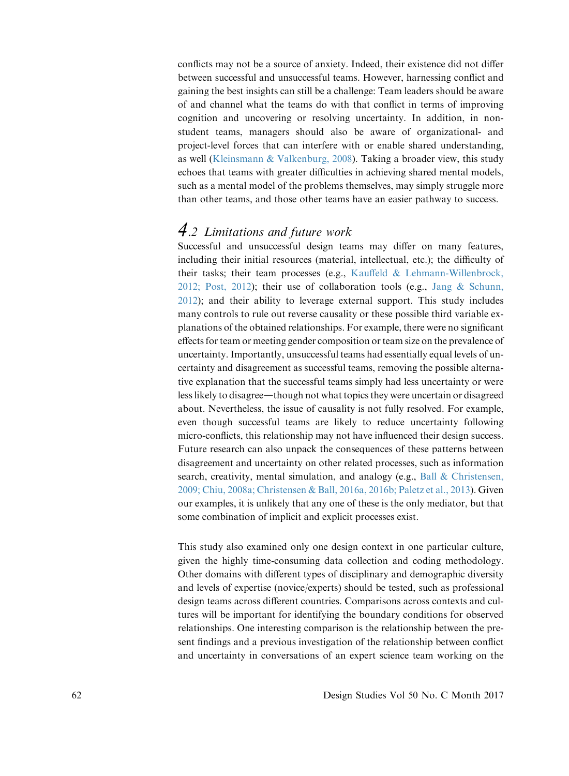conflicts may not be a source of anxiety. Indeed, their existence did not differ between successful and unsuccessful teams. However, harnessing conflict and gaining the best insights can still be a challenge: Team leaders should be aware of and channel what the teams do with that conflict in terms of improving cognition and uncovering or resolving uncertainty. In addition, in nonstudent teams, managers should also be aware of organizational- and project-level forces that can interfere with or enable shared understanding, as well [\(Kleinsmann & Valkenburg, 2008\)](#page-27-0). Taking a broader view, this study echoes that teams with greater difficulties in achieving shared mental models, such as a mental model of the problems themselves, may simply struggle more than other teams, and those other teams have an easier pathway to success.

## $4.2$  Limitations and future work

Successful and unsuccessful design teams may differ on many features, including their initial resources (material, intellectual, etc.); the difficulty of their tasks; their team processes (e.g., [Kauffeld & Lehmann-Willenbrock,](#page-27-0) [2012; Post, 2012\)](#page-27-0); their use of collaboration tools (e.g., [Jang & Schunn,](#page-27-0) [2012](#page-27-0)); and their ability to leverage external support. This study includes many controls to rule out reverse causality or these possible third variable explanations of the obtained relationships. For example, there were no significant effects for team or meeting gender composition or team size on the prevalence of uncertainty. Importantly, unsuccessful teams had essentially equal levels of uncertainty and disagreement as successful teams, removing the possible alternative explanation that the successful teams simply had less uncertainty or were less likely to disagree—though not what topics they were uncertain or disagreed about. Nevertheless, the issue of causality is not fully resolved. For example, even though successful teams are likely to reduce uncertainty following micro-conflicts, this relationship may not have influenced their design success. Future research can also unpack the consequences of these patterns between disagreement and uncertainty on other related processes, such as information search, creativity, mental simulation, and analogy (e.g., [Ball & Christensen,](#page-25-0) [2009; Chiu, 2008a; Christensen & Ball, 2016a, 2016b; Paletz et al., 2013](#page-25-0)). Given our examples, it is unlikely that any one of these is the only mediator, but that some combination of implicit and explicit processes exist.

This study also examined only one design context in one particular culture, given the highly time-consuming data collection and coding methodology. Other domains with different types of disciplinary and demographic diversity and levels of expertise (novice/experts) should be tested, such as professional design teams across different countries. Comparisons across contexts and cultures will be important for identifying the boundary conditions for observed relationships. One interesting comparison is the relationship between the present findings and a previous investigation of the relationship between conflict and uncertainty in conversations of an expert science team working on the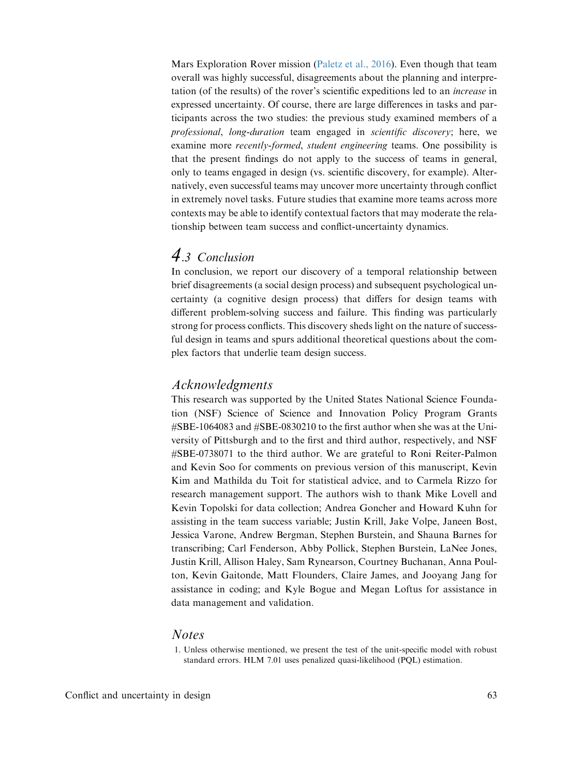<span id="page-24-0"></span>Mars Exploration Rover mission [\(Paletz et al., 2016](#page-28-0)). Even though that team overall was highly successful, disagreements about the planning and interpretation (of the results) of the rover's scientific expeditions led to an increase in expressed uncertainty. Of course, there are large differences in tasks and participants across the two studies: the previous study examined members of a professional, long-duration team engaged in scientific discovery; here, we examine more recently-formed, student engineering teams. One possibility is that the present findings do not apply to the success of teams in general, only to teams engaged in design (vs. scientific discovery, for example). Alternatively, even successful teams may uncover more uncertainty through conflict in extremely novel tasks. Future studies that examine more teams across more contexts may be able to identify contextual factors that may moderate the relationship between team success and conflict-uncertainty dynamics.

### 4.3 Conclusion

In conclusion, we report our discovery of a temporal relationship between brief disagreements (a social design process) and subsequent psychological uncertainty (a cognitive design process) that differs for design teams with different problem-solving success and failure. This finding was particularly strong for process conflicts. This discovery sheds light on the nature of successful design in teams and spurs additional theoretical questions about the complex factors that underlie team design success.

#### Acknowledgments

This research was supported by the United States National Science Foundation (NSF) Science of Science and Innovation Policy Program Grants #SBE-1064083 and #SBE-0830210 to the first author when she was at the University of Pittsburgh and to the first and third author, respectively, and NSF #SBE-0738071 to the third author. We are grateful to Roni Reiter-Palmon and Kevin Soo for comments on previous version of this manuscript, Kevin Kim and Mathilda du Toit for statistical advice, and to Carmela Rizzo for research management support. The authors wish to thank Mike Lovell and Kevin Topolski for data collection; Andrea Goncher and Howard Kuhn for assisting in the team success variable; Justin Krill, Jake Volpe, Janeen Bost, Jessica Varone, Andrew Bergman, Stephen Burstein, and Shauna Barnes for transcribing; Carl Fenderson, Abby Pollick, Stephen Burstein, LaNee Jones, Justin Krill, Allison Haley, Sam Rynearson, Courtney Buchanan, Anna Poulton, Kevin Gaitonde, Matt Flounders, Claire James, and Jooyang Jang for assistance in coding; and Kyle Bogue and Megan Loftus for assistance in data management and validation.

#### Notes

1. Unless otherwise mentioned, we present the test of the unit-specific model with robust standard errors. HLM 7.01 uses penalized quasi-likelihood (PQL) estimation.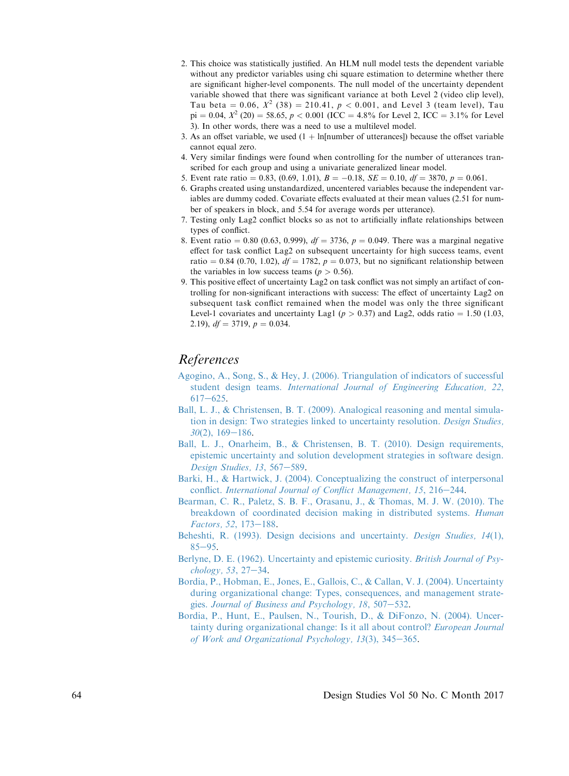- <span id="page-25-0"></span>2. This choice was statistically justified. An HLM null model tests the dependent variable without any predictor variables using chi square estimation to determine whether there are significant higher-level components. The null model of the uncertainty dependent variable showed that there was significant variance at both Level 2 (video clip level), Tau beta = 0.06,  $X^2$  (38) = 210.41,  $p < 0.001$ , and Level 3 (team level), Tau pi = 0.04,  $X^2$  (20) = 58.65, p < 0.001 (ICC = 4.8% for Level 2, ICC = 3.1% for Level 3). In other words, there was a need to use a multilevel model.
- 3. As an offset variable, we used  $(1 + \ln[\text{number of utterances}])$  because the offset variable cannot equal zero.
- 4. Very similar findings were found when controlling for the number of utterances transcribed for each group and using a univariate generalized linear model.
- 5. Event rate ratio = 0.83, (0.69, 1.01),  $B = -0.18$ ,  $SE = 0.10$ ,  $df = 3870$ ,  $p = 0.061$ .
- 6. Graphs created using unstandardized, uncentered variables because the independent variables are dummy coded. Covariate effects evaluated at their mean values (2.51 for number of speakers in block, and 5.54 for average words per utterance).
- 7. Testing only Lag2 conflict blocks so as not to artificially inflate relationships between types of conflict.
- 8. Event ratio = 0.80 (0.63, 0.999),  $df = 3736$ ,  $p = 0.049$ . There was a marginal negative effect for task conflict Lag2 on subsequent uncertainty for high success teams, event ratio = 0.84 (0.70, 1.02),  $df = 1782$ ,  $p = 0.073$ , but no significant relationship between the variables in low success teams ( $p > 0.56$ ).
- 9. This positive effect of uncertainty Lag2 on task conflict was not simply an artifact of controlling for non-significant interactions with success: The effect of uncertainty Lag2 on subsequent task conflict remained when the model was only the three significant Level-1 covariates and uncertainty Lag1 ( $p > 0.37$ ) and Lag2, odds ratio = 1.50 (1.03, 2.19),  $df = 3719$ ,  $p = 0.034$ .

#### References

- [Agogino, A., Song, S., & Hey, J. \(2006\). Triangulation of indicators of successful](http://refhub.elsevier.com/S0142-694X(17)30013-3/sref1) student design teams. [International Journal of Engineering Education, 22](http://refhub.elsevier.com/S0142-694X(17)30013-3/sref1),  $617 - 625.$  $617 - 625.$  $617 - 625.$
- [Ball, L. J., & Christensen, B. T. \(2009\). Analogical reasoning and mental simula](http://refhub.elsevier.com/S0142-694X(17)30013-3/sref2)[tion in design: Two strategies linked to uncertainty resolution.](http://refhub.elsevier.com/S0142-694X(17)30013-3/sref2) Design Studies,  $30(2)$ ,  $169-186$ .
- [Ball, L. J., Onarheim, B., & Christensen, B. T. \(2010\). Design requirements,](http://refhub.elsevier.com/S0142-694X(17)30013-3/sref3) [epistemic uncertainty and solution development strategies in software design.](http://refhub.elsevier.com/S0142-694X(17)30013-3/sref3) [Design Studies, 13](http://refhub.elsevier.com/S0142-694X(17)30013-3/sref3), 567-[589.](http://refhub.elsevier.com/S0142-694X(17)30013-3/sref3)
- [Barki, H., & Hartwick, J. \(2004\). Conceptualizing the construct of interpersonal](http://refhub.elsevier.com/S0142-694X(17)30013-3/sref4) conflict. [International Journal of Conflict Management, 15](http://refhub.elsevier.com/S0142-694X(17)30013-3/sref4), 216–[244](http://refhub.elsevier.com/S0142-694X(17)30013-3/sref4).
- [Bearman, C. R., Paletz, S. B. F., Orasanu, J., & Thomas, M. J. W. \(2010\). The](http://refhub.elsevier.com/S0142-694X(17)30013-3/sref5) [breakdown of coordinated decision making in distributed systems.](http://refhub.elsevier.com/S0142-694X(17)30013-3/sref5) Human [Factors, 52](http://refhub.elsevier.com/S0142-694X(17)30013-3/sref5), 173-[188.](http://refhub.elsevier.com/S0142-694X(17)30013-3/sref5)
- [Beheshti, R. \(1993\). Design decisions and uncertainty.](http://refhub.elsevier.com/S0142-694X(17)30013-3/sref6) Design Studies, 14(1),  $85 - 95.$  $85 - 95.$  $85 - 95.$
- [Berlyne, D. E. \(1962\). Uncertainty and epistemic curiosity.](http://refhub.elsevier.com/S0142-694X(17)30013-3/sref7) British Journal of Psy $chology, 53, 27-34.$  $chology, 53, 27-34.$  $chology, 53, 27-34.$
- [Bordia, P., Hobman, E., Jones, E., Gallois, C., & Callan, V. J. \(2004\). Uncertainty](http://refhub.elsevier.com/S0142-694X(17)30013-3/sref8) [during organizational change: Types, consequences, and management strate](http://refhub.elsevier.com/S0142-694X(17)30013-3/sref8)gies. Journal of Business and Psychology,  $18$ ,  $507-532$ .
- [Bordia, P., Hunt, E., Paulsen, N., Tourish, D., & DiFonzo, N. \(2004\). Uncer](http://refhub.elsevier.com/S0142-694X(17)30013-3/sref9)[tainty during organizational change: Is it all about control?](http://refhub.elsevier.com/S0142-694X(17)30013-3/sref9) European Journal of Work and Organizational Psychology,  $13(3)$ ,  $345-365$  $345-365$ .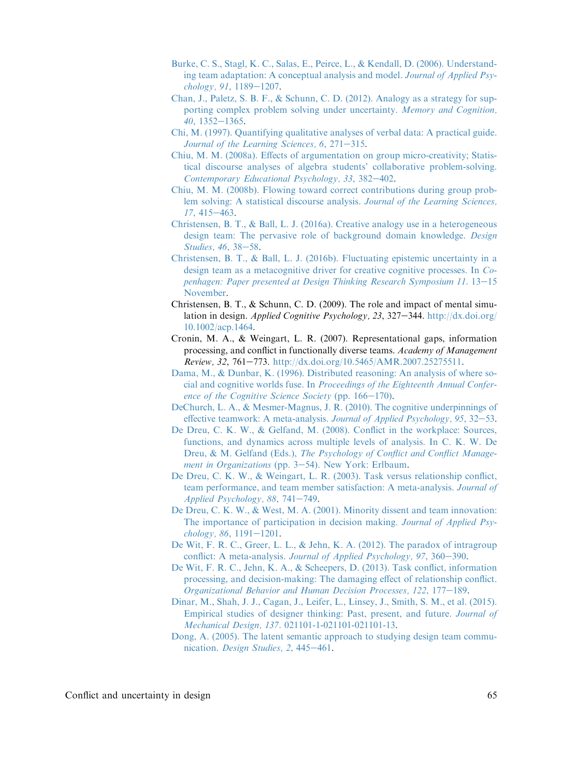- <span id="page-26-0"></span>[Burke, C. S., Stagl, K. C., Salas, E., Peirce, L., & Kendall, D. \(2006\). Understand](http://refhub.elsevier.com/S0142-694X(17)30013-3/sref10)[ing team adaptation: A conceptual analysis and model.](http://refhub.elsevier.com/S0142-694X(17)30013-3/sref10) Journal of Applied Psy $chology, 91, 1189 - 1207.$  $chology, 91, 1189 - 1207.$  $chology, 91, 1189 - 1207.$  $chology, 91, 1189 - 1207.$
- [Chan, J., Paletz, S. B. F., & Schunn, C. D. \(2012\). Analogy as a strategy for sup](http://refhub.elsevier.com/S0142-694X(17)30013-3/sref11)[porting complex problem solving under uncertainty.](http://refhub.elsevier.com/S0142-694X(17)30013-3/sref11) Memory and Cognition,  $40, 1352 - 1365.$  $40, 1352 - 1365.$  $40, 1352 - 1365.$  $40, 1352 - 1365.$
- [Chi, M. \(1997\). Quantifying qualitative analyses of verbal data: A practical guide.](http://refhub.elsevier.com/S0142-694X(17)30013-3/sref101) Journal of the Learning Sciences,  $6, 271-315$  $6, 271-315$ .
- [Chiu, M. M. \(2008a\). Effects of argumentation on group micro-creativity; Statis](http://refhub.elsevier.com/S0142-694X(17)30013-3/sref12)[tical discourse analyses of algebra students' collaborative problem-solving.](http://refhub.elsevier.com/S0142-694X(17)30013-3/sref12) [Contemporary Educational Psychology, 33](http://refhub.elsevier.com/S0142-694X(17)30013-3/sref12), 382-[402.](http://refhub.elsevier.com/S0142-694X(17)30013-3/sref12)
- [Chiu, M. M. \(2008b\). Flowing toward correct contributions during group prob](http://refhub.elsevier.com/S0142-694X(17)30013-3/sref13)[lem solving: A statistical discourse analysis.](http://refhub.elsevier.com/S0142-694X(17)30013-3/sref13) Journal of the Learning Sciences,  $17, 415 - 463.$  $17, 415 - 463.$  $17, 415 - 463.$  $17, 415 - 463.$
- [Christensen, B. T., & Ball, L. J. \(2016a\). Creative analogy use in a heterogeneous](http://refhub.elsevier.com/S0142-694X(17)30013-3/sref14) [design team: The pervasive role of background domain knowledge.](http://refhub.elsevier.com/S0142-694X(17)30013-3/sref14) Design [Studies, 46](http://refhub.elsevier.com/S0142-694X(17)30013-3/sref14), 38–[58.](http://refhub.elsevier.com/S0142-694X(17)30013-3/sref14)
- [Christensen, B. T., & Ball, L. J. \(2016b\). Fluctuating epistemic uncertainty in a](http://refhub.elsevier.com/S0142-694X(17)30013-3/sref15) [design team as a metacognitive driver for creative cognitive processes. In](http://refhub.elsevier.com/S0142-694X(17)30013-3/sref15) Co[penhagen: Paper presented at Design Thinking Research Symposium 11](http://refhub.elsevier.com/S0142-694X(17)30013-3/sref15). 13–[15](http://refhub.elsevier.com/S0142-694X(17)30013-3/sref15) [November](http://refhub.elsevier.com/S0142-694X(17)30013-3/sref15).
- Christensen, B. T., & Schunn, C. D. (2009). The role and impact of mental simulation in design. Applied Cognitive Psychology, 23, 327–344. [http://dx.doi.org/](http://dx.doi.org/10.1002/acp.1464) [10.1002/acp.1464.](http://dx.doi.org/10.1002/acp.1464)
- Cronin, M. A., & Weingart, L. R. (2007). Representational gaps, information processing, and conflict in functionally diverse teams. Academy of Management  $Review, 32, 761–773. <http://dx.doi.org/10.5465/AMR.2007.25275511>.$
- [Dama, M., & Dunbar, K. \(1996\). Distributed reasoning: An analysis of where so](http://refhub.elsevier.com/S0142-694X(17)30013-3/sref18)cial and cognitive worlds fuse. In [Proceedings of the Eighteenth Annual Confer](http://refhub.elsevier.com/S0142-694X(17)30013-3/sref18)[ence of the Cognitive Science Society](http://refhub.elsevier.com/S0142-694X(17)30013-3/sref18) (pp.  $166-170$ ).
- [DeChurch, L. A., & Mesmer-Magnus, J. R. \(2010\). The cognitive underpinnings of](http://refhub.elsevier.com/S0142-694X(17)30013-3/sref19) [effective teamwork: A meta-analysis.](http://refhub.elsevier.com/S0142-694X(17)30013-3/sref19) Journal of Applied Psychology,  $95, 32-53$  $95, 32-53$ .
- [De Dreu, C. K. W., & Gelfand, M. \(2008\). Conflict in the workplace: Sources,](http://refhub.elsevier.com/S0142-694X(17)30013-3/sref20) [functions, and dynamics across multiple levels of analysis. In C. K. W. De](http://refhub.elsevier.com/S0142-694X(17)30013-3/sref20) Dreu, & M. Gelfand (Eds.), [The Psychology of Conflict and Conflict Manage](http://refhub.elsevier.com/S0142-694X(17)30013-3/sref20)[ment in Organizations](http://refhub.elsevier.com/S0142-694X(17)30013-3/sref20) (pp.  $3-54$ ). New York: Erlbaum.
- [De Dreu, C. K. W., & Weingart, L. R. \(2003\). Task versus relationship conflict,](http://refhub.elsevier.com/S0142-694X(17)30013-3/sref21) [team performance, and team member satisfaction: A meta-analysis.](http://refhub.elsevier.com/S0142-694X(17)30013-3/sref21) Journal of Applied Psychology,  $88, 741-749$ .
- [De Dreu, C. K. W., & West, M. A. \(2001\). Minority dissent and team innovation:](http://refhub.elsevier.com/S0142-694X(17)30013-3/sref22) [The importance of participation in decision making.](http://refhub.elsevier.com/S0142-694X(17)30013-3/sref22) Journal of Applied Psy $chology, 86, 1191-1201.$  $chology, 86, 1191-1201.$  $chology, 86, 1191-1201.$  $chology, 86, 1191-1201.$
- [De Wit, F. R. C., Greer, L. L., & Jehn, K. A. \(2012\). The paradox of intragroup](http://refhub.elsevier.com/S0142-694X(17)30013-3/sref23) conflict: A meta-analysis. [Journal of Applied Psychology, 97](http://refhub.elsevier.com/S0142-694X(17)30013-3/sref23), 360–[390](http://refhub.elsevier.com/S0142-694X(17)30013-3/sref23).
- [De Wit, F. R. C., Jehn, K. A., & Scheepers, D. \(2013\). Task conflict, information](http://refhub.elsevier.com/S0142-694X(17)30013-3/sref24) [processing, and decision-making: The damaging effect of relationship conflict.](http://refhub.elsevier.com/S0142-694X(17)30013-3/sref24) [Organizational Behavior and Human Decision Processes, 122](http://refhub.elsevier.com/S0142-694X(17)30013-3/sref24), 177-[189](http://refhub.elsevier.com/S0142-694X(17)30013-3/sref24).
- [Dinar, M., Shah, J. J., Cagan, J., Leifer, L., Linsey, J., Smith, S. M., et al. \(2015\).](http://refhub.elsevier.com/S0142-694X(17)30013-3/sref25) [Empirical studies of designer thinking: Past, present, and future.](http://refhub.elsevier.com/S0142-694X(17)30013-3/sref25) Journal of Mechanical Design, 137[. 021101-1-021101-021101-13](http://refhub.elsevier.com/S0142-694X(17)30013-3/sref25).
- [Dong, A. \(2005\). The latent semantic approach to studying design team commu-](http://refhub.elsevier.com/S0142-694X(17)30013-3/sref26)nication. [Design Studies, 2](http://refhub.elsevier.com/S0142-694X(17)30013-3/sref26), 445-[461](http://refhub.elsevier.com/S0142-694X(17)30013-3/sref26).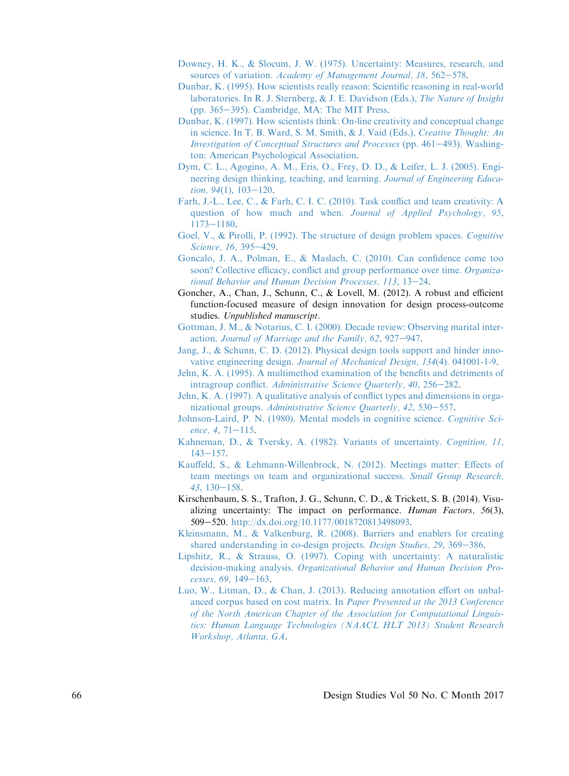- <span id="page-27-0"></span>[Downey, H. K., & Slocum, J. W. \(1975\). Uncertainty: Measures, research, and](http://refhub.elsevier.com/S0142-694X(17)30013-3/sref27) sources of variation. [Academy of Management Journal, 18](http://refhub.elsevier.com/S0142-694X(17)30013-3/sref27), 562–[578](http://refhub.elsevier.com/S0142-694X(17)30013-3/sref27).
- [Dunbar, K. \(1995\). How scientists really reason: Scientific reasoning in real-world](http://refhub.elsevier.com/S0142-694X(17)30013-3/sref28) [laboratories. In R. J. Sternberg, & J. E. Davidson \(Eds.\),](http://refhub.elsevier.com/S0142-694X(17)30013-3/sref28) The Nature of Insight (pp.  $365-395$ ). Cambridge, MA: The MIT Press.
- [Dunbar, K. \(1997\). How scientists think: On-line creativity and conceptual change](http://refhub.elsevier.com/S0142-694X(17)30013-3/sref29) [in science. In T. B. Ward, S. M. Smith, & J. Vaid \(Eds.\),](http://refhub.elsevier.com/S0142-694X(17)30013-3/sref29) Creative Thought: An *[Investigation of Conceptual Structures and Processes](http://refhub.elsevier.com/S0142-694X(17)30013-3/sref29)* (pp.  $461-493$ ). Washing[ton: American Psychological Association](http://refhub.elsevier.com/S0142-694X(17)30013-3/sref29).
- [Dym, C. L., Agogino, A. M., Eris, O., Frey, D. D., & Leifer, L. J. \(2005\). Engi](http://refhub.elsevier.com/S0142-694X(17)30013-3/sref30)[neering design thinking, teaching, and learning.](http://refhub.elsevier.com/S0142-694X(17)30013-3/sref30) Journal of Engineering Educa- $tion, 94(1), 103-120.$  $tion, 94(1), 103-120.$  $tion, 94(1), 103-120.$  $tion, 94(1), 103-120.$
- [Farh, J.-L., Lee, C., & Farh, C. I. C. \(2010\). Task conflict and team creativity: A](http://refhub.elsevier.com/S0142-694X(17)30013-3/sref31) [question of how much and when.](http://refhub.elsevier.com/S0142-694X(17)30013-3/sref31) Journal of Applied Psychology, 95,  $1173 - 1180.$  $1173 - 1180.$  $1173 - 1180.$
- [Goel, V., & Pirolli, P. \(1992\). The structure of design problem spaces.](http://refhub.elsevier.com/S0142-694X(17)30013-3/sref32) Cognitive [Science, 16](http://refhub.elsevier.com/S0142-694X(17)30013-3/sref32), 395-[429.](http://refhub.elsevier.com/S0142-694X(17)30013-3/sref32)
- [Goncalo, J. A., Polman, E., & Maslach, C. \(2010\). Can confidence come too](http://refhub.elsevier.com/S0142-694X(17)30013-3/sref33) [soon? Collective efficacy, conflict and group performance over time.](http://refhub.elsevier.com/S0142-694X(17)30013-3/sref33) Organizational Behavior and Human Decision Processes,  $113$ ,  $13-24$ .
- Goncher, A., Chan, J., Schunn, C., & Lovell, M. (2012). A robust and efficient function-focused measure of design innovation for design process-outcome studies. Unpublished manuscript.
- [Gottman, J. M., & Notarius, C. I. \(2000\). Decade review: Observing marital inter-](http://refhub.elsevier.com/S0142-694X(17)30013-3/sref35)action. [Journal of Marriage and the Family, 62](http://refhub.elsevier.com/S0142-694X(17)30013-3/sref35), 927–[947](http://refhub.elsevier.com/S0142-694X(17)30013-3/sref35).
- [Jang, J., & Schunn, C. D. \(2012\). Physical design tools support and hinder inno](http://refhub.elsevier.com/S0142-694X(17)30013-3/sref36)vative engineering design. [Journal of Mechanical Design, 134](http://refhub.elsevier.com/S0142-694X(17)30013-3/sref36)(4). 041001-1-9.
- [Jehn, K. A. \(1995\). A multimethod examination of the benefits and detriments of](http://refhub.elsevier.com/S0142-694X(17)30013-3/sref37) intragroup conflict. [Administrative Science Quarterly, 40](http://refhub.elsevier.com/S0142-694X(17)30013-3/sref37), 256-[282.](http://refhub.elsevier.com/S0142-694X(17)30013-3/sref37)
- [Jehn, K. A. \(1997\). A qualitative analysis of conflict types and dimensions in orga-](http://refhub.elsevier.com/S0142-694X(17)30013-3/sref38)nizational groups. [Administrative Science Quarterly, 42](http://refhub.elsevier.com/S0142-694X(17)30013-3/sref38), 530-[557.](http://refhub.elsevier.com/S0142-694X(17)30013-3/sref38)
- [Johnson-Laird, P. N. \(1980\). Mental models in cognitive science.](http://refhub.elsevier.com/S0142-694X(17)30013-3/sref39) Cognitive Science,  $4, 71 - 115$ .
- [Kahneman, D., & Tversky, A. \(1982\). Variants of uncertainty.](http://refhub.elsevier.com/S0142-694X(17)30013-3/sref40) Cognition, 11,  $143 - 157$  $143 - 157$ .
- [Kauffeld, S., & Lehmann-Willenbrock, N. \(2012\). Meetings matter: Effects of](http://refhub.elsevier.com/S0142-694X(17)30013-3/sref41) [team meetings on team and organizational success.](http://refhub.elsevier.com/S0142-694X(17)30013-3/sref41) Small Group Research,  $43, 130 - 158.$  $43, 130 - 158.$  $43, 130 - 158.$  $43, 130 - 158.$  $43, 130 - 158.$
- Kirschenbaum, S. S., Trafton, J. G., Schunn, C. D., & Trickett, S. B. (2014). Visualizing uncertainty: The impact on performance. Human Factors, 56(3), 509–520. <http://dx.doi.org/10.1177/0018720813498093>.
- [Kleinsmann, M., & Valkenburg, R. \(2008\). Barriers and enablers for creating](http://refhub.elsevier.com/S0142-694X(17)30013-3/sref43) [shared understanding in co-design projects.](http://refhub.elsevier.com/S0142-694X(17)30013-3/sref43) Design Studies, 29, 369–[386.](http://refhub.elsevier.com/S0142-694X(17)30013-3/sref43)
- [Lipshitz, R., & Strauss, O. \(1997\). Coping with uncertainty: A naturalistic](http://refhub.elsevier.com/S0142-694X(17)30013-3/sref44) decision-making analysis. [Organizational Behavior and Human Decision Pro](http://refhub.elsevier.com/S0142-694X(17)30013-3/sref44) $cesses, 69, 149-163.$  $cesses, 69, 149-163.$  $cesses, 69, 149-163.$
- [Luo, W., Litman, D., & Chan, J. \(2013\). Reducing annotation effort on unbal](http://refhub.elsevier.com/S0142-694X(17)30013-3/sref45)anced corpus based on cost matrix. In [Paper Presented at the 2013 Conference](http://refhub.elsevier.com/S0142-694X(17)30013-3/sref45) [of the North American Chapter of the Association for Computational Linguis](http://refhub.elsevier.com/S0142-694X(17)30013-3/sref45)[tics: Human Language Technologies \(NAACL HLT 2013\) Student Research](http://refhub.elsevier.com/S0142-694X(17)30013-3/sref45) [Workshop, Atlanta, GA](http://refhub.elsevier.com/S0142-694X(17)30013-3/sref45).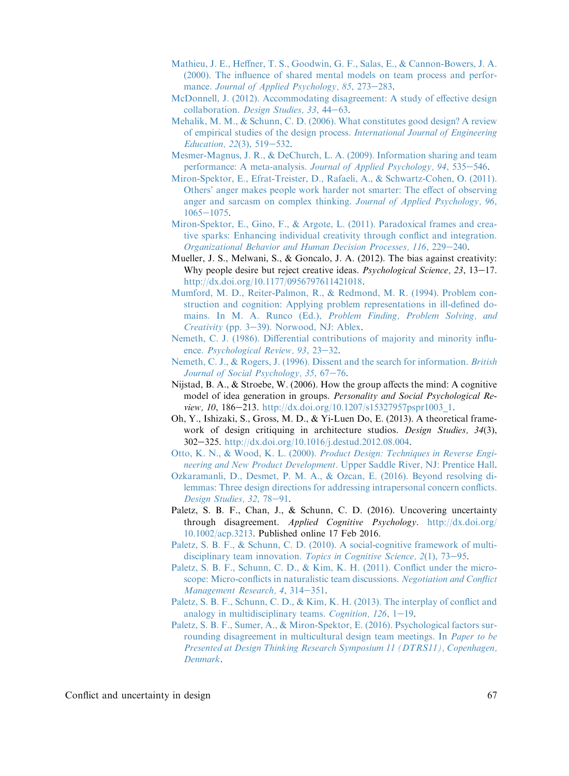- <span id="page-28-0"></span>[Mathieu, J. E., Heffner, T. S., Goodwin, G. F., Salas, E., & Cannon-Bowers, J. A.](http://refhub.elsevier.com/S0142-694X(17)30013-3/sref46) [\(2000\). The influence of shared mental models on team process and perfor-](http://refhub.elsevier.com/S0142-694X(17)30013-3/sref46)mance. [Journal of Applied Psychology, 85](http://refhub.elsevier.com/S0142-694X(17)30013-3/sref46), 273-[283](http://refhub.elsevier.com/S0142-694X(17)30013-3/sref46).
- [McDonnell, J. \(2012\). Accommodating disagreement: A study of effective design](http://refhub.elsevier.com/S0142-694X(17)30013-3/sref47) collaboration. [Design Studies, 33](http://refhub.elsevier.com/S0142-694X(17)30013-3/sref47), 44-[63](http://refhub.elsevier.com/S0142-694X(17)30013-3/sref47).
- [Mehalik, M. M., & Schunn, C. D. \(2006\). What constitutes good design? A review](http://refhub.elsevier.com/S0142-694X(17)30013-3/sref48) [of empirical studies of the design process.](http://refhub.elsevier.com/S0142-694X(17)30013-3/sref48) International Journal of Engineering [Education, 22](http://refhub.elsevier.com/S0142-694X(17)30013-3/sref48)(3), 519-[532.](http://refhub.elsevier.com/S0142-694X(17)30013-3/sref48)
- [Mesmer-Magnus, J. R., & DeChurch, L. A. \(2009\). Information sharing and team](http://refhub.elsevier.com/S0142-694X(17)30013-3/sref49) performance: A meta-analysis. [Journal of Applied Psychology, 94](http://refhub.elsevier.com/S0142-694X(17)30013-3/sref49), 535-[546](http://refhub.elsevier.com/S0142-694X(17)30013-3/sref49).
- [Miron-Spektor, E., Efrat-Treister, D., Rafaeli, A., & Schwartz-Cohen, O. \(2011\).](http://refhub.elsevier.com/S0142-694X(17)30013-3/sref50) [Others' anger makes people work harder not smarter: The effect of observing](http://refhub.elsevier.com/S0142-694X(17)30013-3/sref50) [anger and sarcasm on complex thinking.](http://refhub.elsevier.com/S0142-694X(17)30013-3/sref50) Journal of Applied Psychology, 96,  $1065 - 1075.$  $1065 - 1075.$  $1065 - 1075.$  $1065 - 1075.$
- [Miron-Spektor, E., Gino, F., & Argote, L. \(2011\). Paradoxical frames and crea](http://refhub.elsevier.com/S0142-694X(17)30013-3/sref51)[tive sparks: Enhancing individual creativity through conflict and integration.](http://refhub.elsevier.com/S0142-694X(17)30013-3/sref51) [Organizational Behavior and Human Decision Processes, 116](http://refhub.elsevier.com/S0142-694X(17)30013-3/sref51), 229-[240](http://refhub.elsevier.com/S0142-694X(17)30013-3/sref51).
- Mueller, J. S., Melwani, S., & Goncalo, J. A. (2012). The bias against creativity: Why people desire but reject creative ideas. *Psychological Science*, 23, 13–17. [http://dx.doi.org/10.1177/0956797611421018.](http://dx.doi.org/10.1177/0956797611421018)
- [Mumford, M. D., Reiter-Palmon, R., & Redmond, M. R. \(1994\). Problem con](http://refhub.elsevier.com/S0142-694X(17)30013-3/sref53)[struction and cognition: Applying problem representations in ill-defined do](http://refhub.elsevier.com/S0142-694X(17)30013-3/sref53)mains. In M. A. Runco (Ed.), [Problem Finding, Problem Solving, and](http://refhub.elsevier.com/S0142-694X(17)30013-3/sref53) [Creativity](http://refhub.elsevier.com/S0142-694X(17)30013-3/sref53) (pp.  $3-39$ ). Norwood, NJ: Ablex.
- [Nemeth, C. J. \(1986\). Differential contributions of majority and minority influ-](http://refhub.elsevier.com/S0142-694X(17)30013-3/sref54)ence. [Psychological Review, 93](http://refhub.elsevier.com/S0142-694X(17)30013-3/sref54), 23-[32.](http://refhub.elsevier.com/S0142-694X(17)30013-3/sref54)
- [Nemeth, C. J., & Rogers, J. \(1996\). Dissent and the search for information.](http://refhub.elsevier.com/S0142-694X(17)30013-3/sref55) British Journal of Social Psychology,  $35, 67-76$ .
- Nijstad, B. A., & Stroebe, W. (2006). How the group affects the mind: A cognitive model of idea generation in groups. Personality and Social Psychological Review, 10, 186-213. [http://dx.doi.org/10.1207/s15327957pspr1003\\_1](http://dx.doi.org/10.1207/s15327957pspr1003_1).
- Oh, Y., Ishizaki, S., Gross, M. D., & Yi-Luen Do, E. (2013). A theoretical framework of design critiquing in architecture studios. Design Studies, 34(3), 302–325. [http://dx.doi.org/10.1016/j.destud.2012.08.004.](http://dx.doi.org/10.1016/j.destud.2012.08.004)
- Otto, K. N., & Wood, K. L. (2000). [Product Design: Techniques in Reverse Engi](http://refhub.elsevier.com/S0142-694X(17)30013-3/sref58)neering and New Product Development[. Upper Saddle River, NJ: Prentice Hall](http://refhub.elsevier.com/S0142-694X(17)30013-3/sref58).
- [Ozkaramanli, D., Desmet, P. M. A., & Ozcan, E. \(2016\). Beyond resolving di](http://refhub.elsevier.com/S0142-694X(17)30013-3/sref59)[lemmas: Three design directions for addressing intrapersonal concern conflicts.](http://refhub.elsevier.com/S0142-694X(17)30013-3/sref59) [Design Studies, 32](http://refhub.elsevier.com/S0142-694X(17)30013-3/sref59), 78-[91](http://refhub.elsevier.com/S0142-694X(17)30013-3/sref59).
- Paletz, S. B. F., Chan, J., & Schunn, C. D. (2016). Uncovering uncertainty through disagreement. Applied Cognitive Psychology. [http://dx.doi.org/](http://dx.doi.org/10.1002/acp.3213) [10.1002/acp.3213.](http://dx.doi.org/10.1002/acp.3213) Published online 17 Feb 2016.
- [Paletz, S. B. F., & Schunn, C. D. \(2010\). A social-cognitive framework of multi](http://refhub.elsevier.com/S0142-694X(17)30013-3/sref61)disciplinary team innovation. Topics in Cognitive Science,  $2(1)$ ,  $73-95$ .
- [Paletz, S. B. F., Schunn, C. D., & Kim, K. H. \(2011\). Conflict under the micro](http://refhub.elsevier.com/S0142-694X(17)30013-3/sref62)[scope: Micro-conflicts in naturalistic team discussions.](http://refhub.elsevier.com/S0142-694X(17)30013-3/sref62) Negotiation and Conflict [Management Research, 4](http://refhub.elsevier.com/S0142-694X(17)30013-3/sref62), 314-[351.](http://refhub.elsevier.com/S0142-694X(17)30013-3/sref62)
- [Paletz, S. B. F., Schunn, C. D., & Kim, K. H. \(2013\). The interplay of conflict and](http://refhub.elsevier.com/S0142-694X(17)30013-3/sref63) [analogy in multidisciplinary teams.](http://refhub.elsevier.com/S0142-694X(17)30013-3/sref63) Cognition,  $126$ ,  $1-19$ .
- [Paletz, S. B. F., Sumer, A., & Miron-Spektor, E. \(2016\). Psychological factors sur](http://refhub.elsevier.com/S0142-694X(17)30013-3/sref64)[rounding disagreement in multicultural design team meetings. In](http://refhub.elsevier.com/S0142-694X(17)30013-3/sref64) Paper to be [Presented at Design Thinking Research Symposium 11 \(DTRS11\), Copenhagen,](http://refhub.elsevier.com/S0142-694X(17)30013-3/sref64) [Denmark](http://refhub.elsevier.com/S0142-694X(17)30013-3/sref64).

Conflict and uncertainty in design 67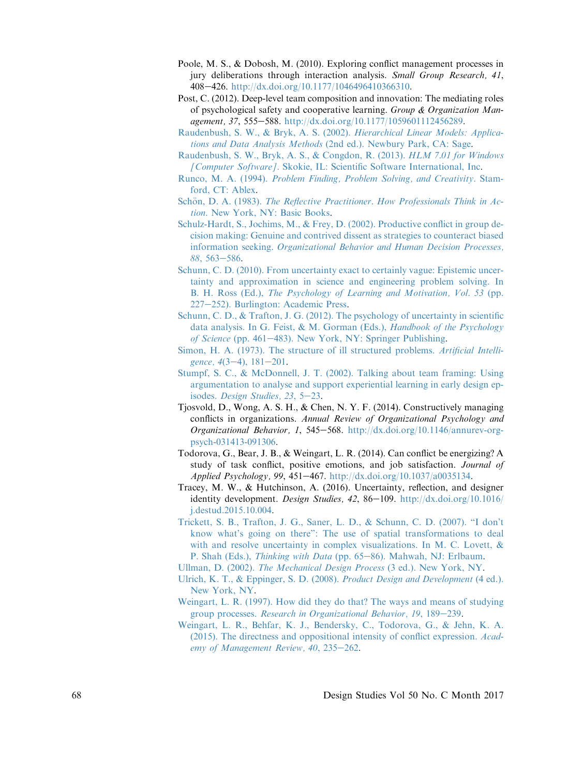- <span id="page-29-0"></span>Poole, M. S., & Dobosh, M. (2010). Exploring conflict management processes in jury deliberations through interaction analysis. Small Group Research, 41, 408e426. <http://dx.doi.org/10.1177/1046496410366310>.
- Post, C. (2012). Deep-level team composition and innovation: The mediating roles of psychological safety and cooperative learning. Group & Organization Management, 37, 555–588. <http://dx.doi.org/10.1177/1059601112456289>.
- [Raudenbush, S. W., & Bryk, A. S. \(2002\).](http://refhub.elsevier.com/S0142-694X(17)30013-3/sref67) Hierarchical Linear Models: Applications and Data Analysis Methods [\(2nd ed.\). Newbury Park, CA: Sage.](http://refhub.elsevier.com/S0142-694X(17)30013-3/sref67)
- [Raudenbush, S. W., Bryk, A. S., & Congdon, R. \(2013\).](http://refhub.elsevier.com/S0142-694X(17)30013-3/sref68) HLM 7.01 for Windows [Computer Software][. Skokie, IL: Scientific Software International, Inc.](http://refhub.elsevier.com/S0142-694X(17)30013-3/sref68)
- Runco, M. A. (1994). [Problem Finding, Problem Solving, and Creativity](http://refhub.elsevier.com/S0142-694X(17)30013-3/sref69). Stam[ford, CT: Ablex.](http://refhub.elsevier.com/S0142-694X(17)30013-3/sref69)
- [Sch](http://refhub.elsevier.com/S0142-694X(17)30013-3/sref70)ön, D. A. (1983). [The Reflective Practitioner. How Professionals Think in Ac](http://refhub.elsevier.com/S0142-694X(17)30013-3/sref70)tion[. New York, NY: Basic Books.](http://refhub.elsevier.com/S0142-694X(17)30013-3/sref70)
- [Schulz-Hardt, S., Jochims, M., & Frey, D. \(2002\). Productive conflict in group de](http://refhub.elsevier.com/S0142-694X(17)30013-3/sref71)[cision making: Genuine and contrived dissent as strategies to counteract biased](http://refhub.elsevier.com/S0142-694X(17)30013-3/sref71) information seeking. [Organizational Behavior and Human Decision Processes,](http://refhub.elsevier.com/S0142-694X(17)30013-3/sref71) 88[, 563](http://refhub.elsevier.com/S0142-694X(17)30013-3/sref71)-[586](http://refhub.elsevier.com/S0142-694X(17)30013-3/sref71).
- [Schunn, C. D. \(2010\). From uncertainty exact to certainly vague: Epistemic uncer](http://refhub.elsevier.com/S0142-694X(17)30013-3/sref72)[tainty and approximation in science and engineering problem solving. In](http://refhub.elsevier.com/S0142-694X(17)30013-3/sref72) B. H. Ross (Ed.), [The Psychology of Learning and Motivation, Vol. 53](http://refhub.elsevier.com/S0142-694X(17)30013-3/sref72) (pp. [227](http://refhub.elsevier.com/S0142-694X(17)30013-3/sref72)–[252\). Burlington: Academic Press.](http://refhub.elsevier.com/S0142-694X(17)30013-3/sref72)
- [Schunn, C. D., & Trafton, J. G. \(2012\). The psychology of uncertainty in scientific](http://refhub.elsevier.com/S0142-694X(17)30013-3/sref73) [data analysis. In G. Feist, & M. Gorman \(Eds.\),](http://refhub.elsevier.com/S0142-694X(17)30013-3/sref73) Handbook of the Psychology [of Science](http://refhub.elsevier.com/S0142-694X(17)30013-3/sref73) (pp.  $461-483$ ). New York, NY: Springer Publishing.
- [Simon, H. A. \(1973\). The structure of ill structured problems.](http://refhub.elsevier.com/S0142-694X(17)30013-3/sref74) Artificial Intelligence,  $4(3-4)$ ,  $181-201$ .
- [Stumpf, S. C., & McDonnell, J. T. \(2002\). Talking about team framing: Using](http://refhub.elsevier.com/S0142-694X(17)30013-3/sref75) [argumentation to analyse and support experiential learning in early design ep](http://refhub.elsevier.com/S0142-694X(17)30013-3/sref75)isodes. Design Studies,  $23, 5-23$ .
- Tjosvold, D., Wong, A. S. H., & Chen, N. Y. F. (2014). Constructively managing conflicts in organizations. Annual Review of Organizational Psychology and Organizational Behavior, 1, 545-568. [http://dx.doi.org/10.1146/annurev-org](http://dx.doi.org/10.1146/annurev-orgpsych-031413-091306)[psych-031413-091306.](http://dx.doi.org/10.1146/annurev-orgpsych-031413-091306)
- Todorova, G., Bear, J. B., & Weingart, L. R. (2014). Can conflict be energizing? A study of task conflict, positive emotions, and job satisfaction. Journal of Applied Psychology, 99, 451–467. <http://dx.doi.org/10.1037/a0035134>.
- Tracey, M. W., & Hutchinson, A. (2016). Uncertainty, reflection, and designer identity development. Design Studies, 42, 86-109. [http://dx.doi.org/10.1016/](http://dx.doi.org/10.1016/j.destud.2015.10.004) [j.destud.2015.10.004.](http://dx.doi.org/10.1016/j.destud.2015.10.004)
- [Trickett, S. B., Trafton, J. G., Saner, L. D., & Schunn, C. D. \(2007\). "I don't](http://refhub.elsevier.com/S0142-694X(17)30013-3/sref79) [know what's going on there": The use of spatial transformations to deal](http://refhub.elsevier.com/S0142-694X(17)30013-3/sref79) [with and resolve uncertainty in complex visualizations. In M. C. Lovett, &](http://refhub.elsevier.com/S0142-694X(17)30013-3/sref79) P. Shah (Eds.), *[Thinking with Data](http://refhub.elsevier.com/S0142-694X(17)30013-3/sref79)* (pp. 65–[86\). Mahwah, NJ: Erlbaum](http://refhub.elsevier.com/S0142-694X(17)30013-3/sref79).

Ullman, D. (2002). [The Mechanical Design Process](http://refhub.elsevier.com/S0142-694X(17)30013-3/sref80) (3 ed.). New York, NY.

- [Ulrich, K. T., & Eppinger, S. D. \(2008\).](http://refhub.elsevier.com/S0142-694X(17)30013-3/sref81) Product Design and Development (4 ed.). [New York, NY.](http://refhub.elsevier.com/S0142-694X(17)30013-3/sref81)
- [Weingart, L. R. \(1997\). How did they do that? The ways and means of studying](http://refhub.elsevier.com/S0142-694X(17)30013-3/sref82) group processes. [Research in Organizational Behavior, 19](http://refhub.elsevier.com/S0142-694X(17)30013-3/sref82), 189-[239](http://refhub.elsevier.com/S0142-694X(17)30013-3/sref82).
- [Weingart, L. R., Behfar, K. J., Bendersky, C., Todorova, G., & Jehn, K. A.](http://refhub.elsevier.com/S0142-694X(17)30013-3/sref83) [\(2015\). The directness and oppositional intensity of conflict expression.](http://refhub.elsevier.com/S0142-694X(17)30013-3/sref83) Academy of Management Review,  $40, 235-262$  $40, 235-262$ .